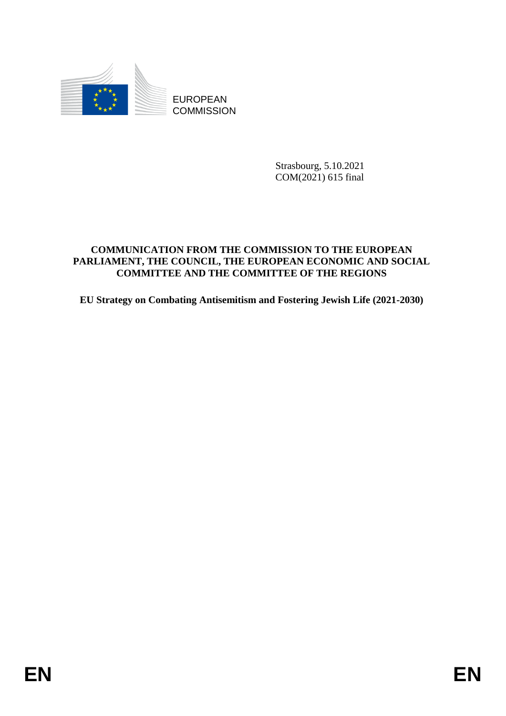

**COMMISSION** 

Strasbourg, 5.10.2021 COM(2021) 615 final

## **COMMUNICATION FROM THE COMMISSION TO THE EUROPEAN PARLIAMENT, THE COUNCIL, THE EUROPEAN ECONOMIC AND SOCIAL COMMITTEE AND THE COMMITTEE OF THE REGIONS**

**EU Strategy on Combating Antisemitism and Fostering Jewish Life (2021-2030)**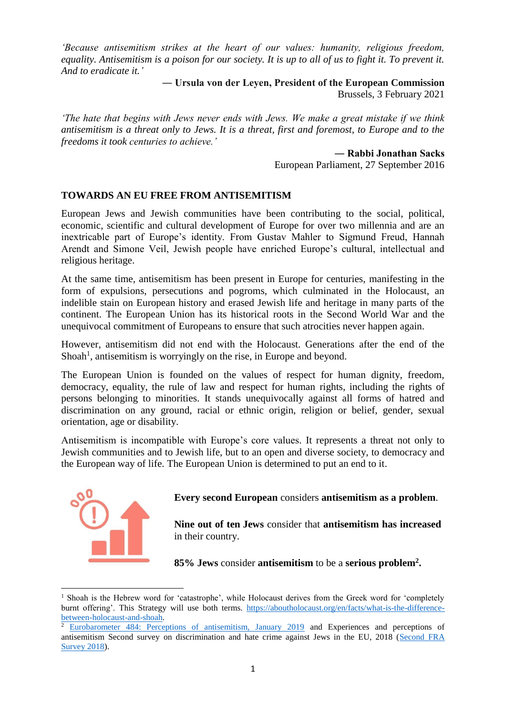*'Because antisemitism strikes at the heart of our values: humanity, religious freedom, equality. Antisemitism is a poison for our society. It is up to all of us to fight it. To prevent it. And to eradicate it.'* 

> **― Ursula von der Leyen, President of the European Commission** Brussels, 3 February 2021

*'The hate that begins with Jews never ends with Jews. We make a great mistake if we think antisemitism is a threat only to Jews. It is a threat, first and foremost, to Europe and to the freedoms it took centuries to achieve.'*

> **― Rabbi Jonathan Sacks** European Parliament, 27 September 2016

#### **TOWARDS AN EU FREE FROM ANTISEMITISM**

European Jews and Jewish communities have been contributing to the social, political, economic, scientific and cultural development of Europe for over two millennia and are an inextricable part of Europe's identity. From Gustav Mahler to Sigmund Freud, Hannah Arendt and Simone Veil, Jewish people have enriched Europe's cultural, intellectual and religious heritage.

At the same time, antisemitism has been present in Europe for centuries, manifesting in the form of expulsions, persecutions and pogroms, which culminated in the Holocaust, an indelible stain on European history and erased Jewish life and heritage in many parts of the continent. The European Union has its historical roots in the Second World War and the unequivocal commitment of Europeans to ensure that such atrocities never happen again.

However, antisemitism did not end with the Holocaust. Generations after the end of the Shoah<sup>1</sup>, antisemitism is worryingly on the rise, in Europe and beyond.

The European Union is founded on the values of respect for human dignity, freedom, democracy, equality, the rule of law and respect for human rights, including the rights of persons belonging to minorities. It stands unequivocally against all forms of hatred and discrimination on any ground, racial or ethnic origin, religion or belief, gender, sexual orientation, age or disability.

Antisemitism is incompatible with Europe's core values. It represents a threat not only to Jewish communities and to Jewish life, but to an open and diverse society, to democracy and the European way of life. The European Union is determined to put an end to it.



**.** 

### **Every second European** considers **antisemitism as a problem**.

**Nine out of ten Jews** consider that **antisemitism has increased** in their country.

**85% Jews** consider **antisemitism** to be a **serious problem<sup>2</sup> .**

 $1$  Shoah is the Hebrew word for 'catastrophe', while Holocaust derives from the Greek word for 'completely burnt offering'. This Strategy will use both terms. [https://aboutholocaust.org/en/facts/what-is-the-difference](https://aboutholocaust.org/en/facts/what-is-the-difference-between-holocaust-and-shoah)[between-holocaust-and-shoah.](https://aboutholocaust.org/en/facts/what-is-the-difference-between-holocaust-and-shoah)

<sup>2</sup> [Eurobarometer 484: Perceptions of antisemitism, January 2019](https://europa.eu/eurobarometer/surveys/detail/2220) and Experiences and perceptions of antisemitism Second survey on discrimination and hate crime against Jews in the EU, 2018 [\(Second FRA](https://fra.europa.eu/sites/default/files/fra_uploads/fra-2018-experiences-and-perceptions-of-antisemitism-survey_en.pdf)  [Survey 2018\)](https://fra.europa.eu/sites/default/files/fra_uploads/fra-2018-experiences-and-perceptions-of-antisemitism-survey_en.pdf).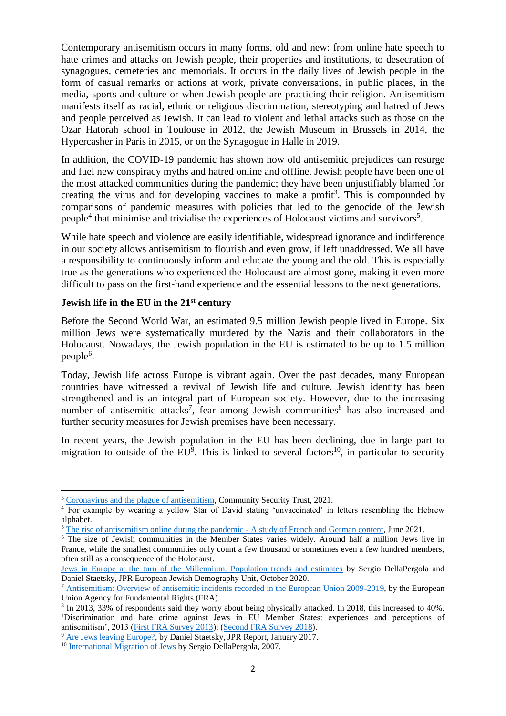Contemporary antisemitism occurs in many forms, old and new: from online hate speech to hate crimes and attacks on Jewish people, their properties and institutions, to desecration of synagogues, cemeteries and memorials. It occurs in the daily lives of Jewish people in the form of casual remarks or actions at work, private conversations, in public places, in the media, sports and culture or when Jewish people are practicing their religion. Antisemitism manifests itself as racial, ethnic or religious discrimination, stereotyping and hatred of Jews and people perceived as Jewish. It can lead to violent and lethal attacks such as those on the Ozar Hatorah school in Toulouse in 2012, the Jewish Museum in Brussels in 2014, the Hypercasher in Paris in 2015, or on the Synagogue in Halle in 2019.

In addition, the COVID-19 pandemic has shown how old antisemitic prejudices can resurge and fuel new conspiracy myths and hatred online and offline. Jewish people have been one of the most attacked communities during the pandemic; they have been unjustifiably blamed for creating the virus and for developing vaccines to make a profit<sup>3</sup>. This is compounded by comparisons of pandemic measures with policies that led to the genocide of the Jewish people<sup>4</sup> that minimise and trivialise the experiences of Holocaust victims and survivors<sup>5</sup>.

While hate speech and violence are easily identifiable, widespread ignorance and indifference in our society allows antisemitism to flourish and even grow, if left unaddressed. We all have a responsibility to continuously inform and educate the young and the old. This is especially true as the generations who experienced the Holocaust are almost gone, making it even more difficult to pass on the first-hand experience and the essential lessons to the next generations.

### **Jewish life in the EU in the 21st century**

**.** 

Before the Second World War, an estimated 9.5 million Jewish people lived in Europe. Six million Jews were systematically murdered by the Nazis and their collaborators in the Holocaust. Nowadays, the Jewish population in the EU is estimated to be up to 1.5 million people<sup>6</sup>.

Today, Jewish life across Europe is vibrant again. Over the past decades, many European countries have witnessed a revival of Jewish life and culture. Jewish identity has been strengthened and is an integral part of European society. However, due to the increasing number of antisemitic attacks<sup>7</sup>, fear among Jewish communities<sup>8</sup> has also increased and further security measures for Jewish premises have been necessary.

In recent years, the Jewish population in the EU has been declining, due in large part to migration to outside of the  $EU^9$ . This is linked to several factors<sup>10</sup>, in particular to security

<sup>&</sup>lt;sup>3</sup> [Coronavirus and the plague of antisemitism,](https://cst.org.uk/data/file/d/9/Coronavirus%20and%20the%20plague%20of%20antisemitism.1586276450.pdf) Community Security Trust, 2021.

<sup>&</sup>lt;sup>4</sup> For example by wearing a yellow Star of David stating 'unvaccinated' in letters resembling the Hebrew alphabet.

<sup>5</sup> [The rise of antisemitism online during the pandemic -](https://op.europa.eu/en/publication-detail/-/publication/d73c833f-c34c-11eb-a925-01aa75ed71a1/language-en) A study of French and German content, June 2021.

<sup>6</sup> The size of Jewish communities in the Member States varies widely. Around half a million Jews live in France, while the smallest communities only count a few thousand or sometimes even a few hundred members, often still as a consequence of the Holocaust.

[Jews in Europe at the turn of the Millennium. Population trends and estimates](https://www.jpr.org.uk/documents/JPR_2020.Jews_in_Europe_at_the_turn_of_the_Millennium.pdf) by Sergio DellaPergola and Daniel Staetsky, JPR European Jewish Demography Unit, October 2020.

<sup>&</sup>lt;sup>7</sup> [Antisemitism: Overview of antisemitic incidents recorded in the European Union 2009-2019,](https://fra.europa.eu/sites/default/files/fra_uploads/fra-2020-antisemitism-overview-2009-2019_en.pdf) by the European Union Agency for Fundamental Rights (FRA).

<sup>8</sup> In 2013, 33% of respondents said they worry about being physically attacked. In 2018, this increased to 40%. 'Discrimination and hate crime against Jews in EU Member States: experiences and perceptions of antisemitism', 2013 [\(First FRA Survey 2013\)](https://fra.europa.eu/sites/default/files/fra-2013-discrimination-hate-crime-against-jews-eu-member-states-0_en.pdf); [\(Second FRA Survey 2018\)](https://fra.europa.eu/sites/default/files/fra_uploads/fra-2018-experiences-and-perceptions-of-antisemitism-survey_en.pdf).

<sup>&</sup>lt;sup>9</sup> [Are Jews leaving Europe?,](https://jpr.org.uk/publication?id=4821) by Daniel Staetsky, JPR Report, January 2017.

<sup>&</sup>lt;sup>10</sup> [International Migration of Jews](https://urldefense.com/v3/__https:/www.researchgate.net/publication/348686333_INTERNATIONAL_MIGRATION_OF_JEWS__;!!DOxrgLBm!Ucg0DMk6iOzx8zrAlRj33TPO68yRgIy0EGIrPv0Xf9V9yudLIZVlQSYALt4EWTymtDT0hNM$) by Sergio DellaPergola, 2007.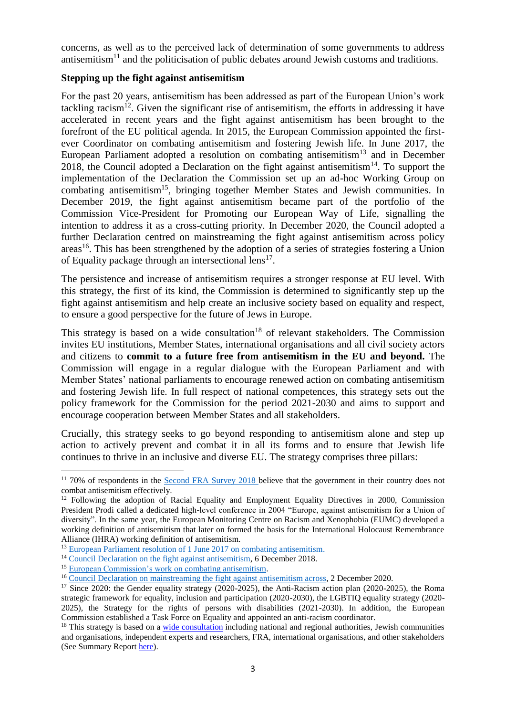concerns, as well as to the perceived lack of determination of some governments to address antisemitism<sup>11</sup> and the politicisation of public debates around Jewish customs and traditions.

### **Stepping up the fight against antisemitism**

For the past 20 years, antisemitism has been addressed as part of the European Union's work tackling racism<sup>12</sup>. Given the significant rise of antisemitism, the efforts in addressing it have accelerated in recent years and the fight against antisemitism has been brought to the forefront of the EU political agenda. In 2015, the European Commission appointed the firstever Coordinator on combating antisemitism and fostering Jewish life. In June 2017, the European Parliament adopted a resolution on combating antisemitism<sup>13</sup> and in December 2018, the Council adopted a Declaration on the fight against antisemitism<sup>14</sup>. To support the implementation of the Declaration the Commission set up an ad-hoc Working Group on combating antisemitism<sup>15</sup>, bringing together Member States and Jewish communities. In December 2019, the fight against antisemitism became part of the portfolio of the Commission Vice-President for Promoting our European Way of Life, signalling the intention to address it as a cross-cutting priority. In December 2020, the Council adopted a further Declaration centred on mainstreaming the fight against antisemitism across policy areas<sup>16</sup>. This has been strengthened by the adoption of a series of strategies fostering a Union of Equality package through an intersectional lens<sup>17</sup>.

The persistence and increase of antisemitism requires a stronger response at EU level. With this strategy, the first of its kind, the Commission is determined to significantly step up the fight against antisemitism and help create an inclusive society based on equality and respect, to ensure a good perspective for the future of Jews in Europe.

This strategy is based on a wide consultation<sup>18</sup> of relevant stakeholders. The Commission invites EU institutions, Member States, international organisations and all civil society actors and citizens to **commit to a future free from antisemitism in the EU and beyond.** The Commission will engage in a regular dialogue with the European Parliament and with Member States' national parliaments to encourage renewed action on combating antisemitism and fostering Jewish life. In full respect of national competences, this strategy sets out the policy framework for the Commission for the period 2021-2030 and aims to support and encourage cooperation between Member States and all stakeholders.

Crucially, this strategy seeks to go beyond responding to antisemitism alone and step up action to actively prevent and combat it in all its forms and to ensure that Jewish life continues to thrive in an inclusive and diverse EU. The strategy comprises three pillars:

 $\overline{a}$ <sup>11</sup> 70% of respondents in the [Second FRA Survey 2018](https://fra.europa.eu/sites/default/files/fra_uploads/fra-2018-experiences-and-perceptions-of-antisemitism-survey_en.pdf) believe that the government in their country does not combat antisemitism effectively.

<sup>&</sup>lt;sup>12</sup> Following the adoption of Racial Equality and Employment Equality Directives in 2000, Commission President Prodi called a dedicated high-level conference in 2004 "Europe, against antisemitism for a Union of diversity". In the same year, the European Monitoring Centre on Racism and Xenophobia (EUMC) developed a working definition of antisemitism that later on formed the basis for the International Holocaust Remembrance Alliance (IHRA) working definition of antisemitism.

<sup>13</sup> [European Parliament resolution of 1 June 2017 on combating antisemitism.](https://www.europarl.europa.eu/doceo/document/TA-8-2017-0243_EN.html)

<sup>&</sup>lt;sup>14</sup> [Council Declaration on the fight against antisemitism,](https://data.consilium.europa.eu/doc/document/ST-15213-2018-INIT/en/pdf) 6 December 2018.

<sup>&</sup>lt;sup>15</sup> [European Commission's work on combating antisemitism.](https://ec.europa.eu/info/policies/justice-and-fundamental-rights/combatting-discrimination/racism-and-xenophobia/combating-antisemitism_en)

<sup>&</sup>lt;sup>16</sup> [Council Declaration on mainstreaming the fight against antisemitism across,](https://www.consilium.europa.eu/media/47065/st13637-en20.pdf) 2 December 2020.

<sup>&</sup>lt;sup>17</sup> Since 2020: the Gender equality strategy (2020-2025), the Anti-Racism action plan (2020-2025), the Roma strategic framework for equality, inclusion and participation (2020-2030), the LGBTIQ equality strategy (2020- 2025), the Strategy for the rights of persons with disabilities (2021-2030). In addition, the European Commission established a Task Force on Equality and appointed an anti-racism coordinator.

<sup>&</sup>lt;sup>18</sup> This strategy is based on a [wide consultation](https://ec.europa.eu/info/law/better-regulation/have-your-say/initiatives/13068-Strategy-on-combating-antisemitism-and-fostering-Jewish-life-in-the-EU_en) including national and regional authorities, Jewish communities and organisations, independent experts and researchers, FRA, international organisations, and other stakeholders (See Summary Report [here\)](https://ec.europa.eu/info/files/summary-report-feedback-roadmap-eu-strategy-combating-antisemitism-and-fostering-jewish-life_en).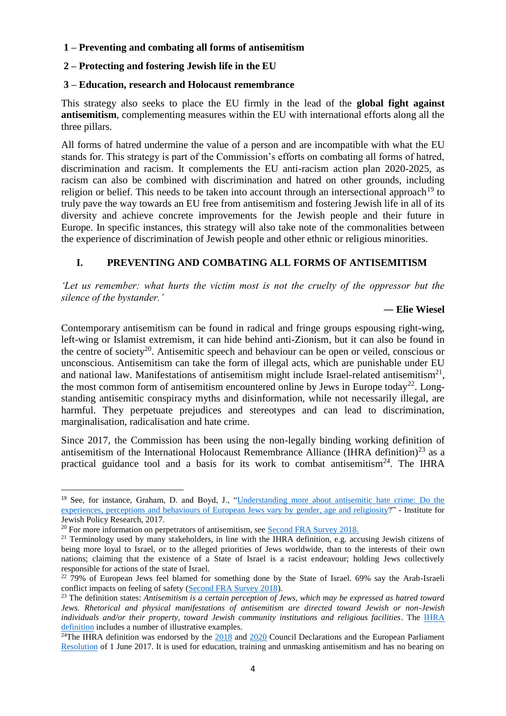### **1 – Preventing and combating all forms of antisemitism**

### **2 – Protecting and fostering Jewish life in the EU**

#### **3 – Education, research and Holocaust remembrance**

This strategy also seeks to place the EU firmly in the lead of the **global fight against antisemitism**, complementing measures within the EU with international efforts along all the three pillars.

All forms of hatred undermine the value of a person and are incompatible with what the EU stands for. This strategy is part of the Commission's efforts on combating all forms of hatred, discrimination and racism. It complements the EU anti-racism action plan 2020-2025, as racism can also be combined with discrimination and hatred on other grounds, including religion or belief. This needs to be taken into account through an intersectional approach<sup>19</sup> to truly pave the way towards an EU free from antisemitism and fostering Jewish life in all of its diversity and achieve concrete improvements for the Jewish people and their future in Europe. In specific instances, this strategy will also take note of the commonalities between the experience of discrimination of Jewish people and other ethnic or religious minorities.

## **I. PREVENTING AND COMBATING ALL FORMS OF ANTISEMITISM**

*'Let us remember: what hurts the victim most is not the cruelty of the oppressor but the silence of the bystander.'*

#### **― Elie Wiesel**

Contemporary antisemitism can be found in radical and fringe groups espousing right-wing, left-wing or Islamist extremism, it can hide behind anti-Zionism, but it can also be found in the centre of society<sup>20</sup>. Antisemitic speech and behaviour can be open or veiled, conscious or unconscious. Antisemitism can take the form of illegal acts, which are punishable under EU and national law. Manifestations of antisemitism might include Israel-related antisemitism<sup>21</sup>, the most common form of antisemitism encountered online by Jews in Europe today<sup>22</sup>. Longstanding antisemitic conspiracy myths and disinformation, while not necessarily illegal, are harmful. They perpetuate prejudices and stereotypes and can lead to discrimination, marginalisation, radicalisation and hate crime.

Since 2017, the Commission has been using the non-legally binding working definition of antisemitism of the International Holocaust Remembrance Alliance (IHRA definition)<sup>23</sup> as a practical guidance tool and a basis for its work to combat antisemitism<sup>24</sup>. The IHRA

<sup>19</sup> See, for instance, Graham, D. and Boyd, J., ["Understanding more about antisemitic hate crime: Do the](https://tandis.odihr.pl/handle/20.500.12389/22404)  [experiences, perceptions and behaviours of European Jews vary by gender, age and religiosity?](https://tandis.odihr.pl/handle/20.500.12389/22404)" - Institute for Jewish Policy Research, 2017.

<sup>&</sup>lt;sup>20</sup> For more information on perpetrators of antisemitism, see [Second FRA Survey 2018.](https://fra.europa.eu/sites/default/files/fra_uploads/fra-2018-experiences-and-perceptions-of-antisemitism-survey_en.pdf)

<sup>&</sup>lt;sup>21</sup> Terminology used by many stakeholders, in line with the IHRA definition, e.g. accusing Jewish citizens of being more loyal to Israel, or to the alleged priorities of Jews worldwide, than to the interests of their own nations; claiming that the existence of a State of Israel is a racist endeavour; holding Jews collectively responsible for actions of the state of Israel.

 $22$  79% of European Jews feel blamed for something done by the State of Israel. 69% say the Arab-Israeli conflict impacts on feeling of safety [\(Second FRA Survey 2018\)](https://fra.europa.eu/sites/default/files/fra_uploads/fra-2018-experiences-and-perceptions-of-antisemitism-survey_en.pdf).

<sup>23</sup> The definition states: *Antisemitism is a certain perception of Jews, which may be expressed as hatred toward Jews. Rhetorical and physical manifestations of antisemitism are directed toward Jewish or non-Jewish individuals and/or their property, toward Jewish community institutions and religious facilities*. The [IHRA](https://www.holocaustremembrance.com/resources/working-definitions-charters/working-definition-antisemitism)  [definition](https://www.holocaustremembrance.com/resources/working-definitions-charters/working-definition-antisemitism) includes a number of illustrative examples.

<sup>&</sup>lt;sup>24</sup>The IHRA definition was endorsed by the  $2018$  and  $2020$  Council Declarations and the European Parliament [Resolution](https://www.europarl.europa.eu/doceo/document/TA-8-2017-0243_EN.html) of 1 June 2017. It is used for education, training and unmasking antisemitism and has no bearing on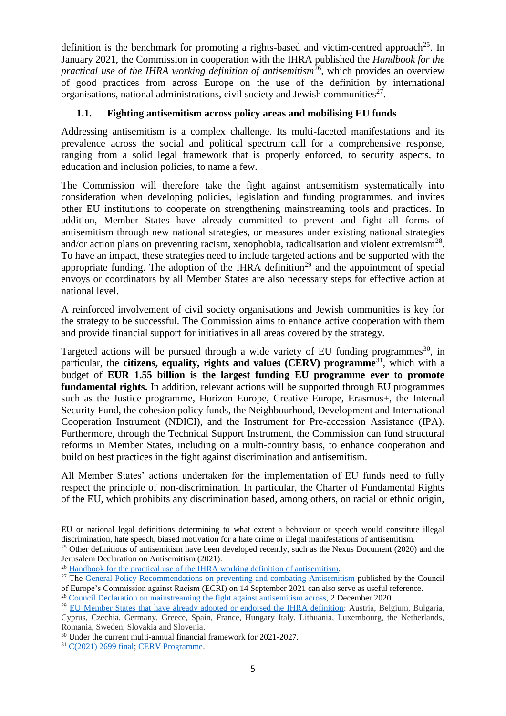definition is the benchmark for promoting a rights-based and victim-centred approach<sup>25</sup>. In January 2021, the Commission in cooperation with the IHRA published the *Handbook for the practical use of the IHRA working definition of antisemitism*<sup>26</sup>, which provides an overview of good practices from across Europe on the use of the definition by international organisations, national administrations, civil society and Jewish communities<sup>27</sup>.

## **1.1. Fighting antisemitism across policy areas and mobilising EU funds**

Addressing antisemitism is a complex challenge. Its multi-faceted manifestations and its prevalence across the social and political spectrum call for a comprehensive response, ranging from a solid legal framework that is properly enforced, to security aspects, to education and inclusion policies, to name a few.

The Commission will therefore take the fight against antisemitism systematically into consideration when developing policies, legislation and funding programmes, and invites other EU institutions to cooperate on strengthening mainstreaming tools and practices. In addition, Member States have already committed to prevent and fight all forms of antisemitism through new national strategies, or measures under existing national strategies and/or action plans on preventing racism, xenophobia, radicalisation and violent extremism<sup>28</sup>. To have an impact, these strategies need to include targeted actions and be supported with the appropriate funding. The adoption of the IHRA definition<sup>29</sup> and the appointment of special envoys or coordinators by all Member States are also necessary steps for effective action at national level.

A reinforced involvement of civil society organisations and Jewish communities is key for the strategy to be successful. The Commission aims to enhance active cooperation with them and provide financial support for initiatives in all areas covered by the strategy.

Targeted actions will be pursued through a wide variety of EU funding programmes<sup>30</sup>, in particular, the **citizens, equality, rights and values (CERV)** programme<sup>31</sup>, which with a budget of **EUR 1.55 billion is the largest funding EU programme ever to promote fundamental rights.** In addition, relevant actions will be supported through EU programmes such as the Justice programme, Horizon Europe, Creative Europe, Erasmus+, the Internal Security Fund, the cohesion policy funds, the Neighbourhood, Development and International Cooperation Instrument (NDICI), and the Instrument for Pre-accession Assistance (IPA). Furthermore, through the Technical Support Instrument, the Commission can fund structural reforms in Member States, including on a multi-country basis, to enhance cooperation and build on best practices in the fight against discrimination and antisemitism.

All Member States' actions undertaken for the implementation of EU funds need to fully respect the principle of non-discrimination. In particular, the Charter of Fundamental Rights of the EU, which prohibits any discrimination based, among others, on racial or ethnic origin,

EU or national legal definitions determining to what extent a behaviour or speech would constitute illegal discrimination, hate speech, biased motivation for a hate crime or illegal manifestations of antisemitism.

<sup>&</sup>lt;sup>25</sup> Other definitions of antisemitism have been developed recently, such as the Nexus Document (2020) and the Jerusalem Declaration on Antisemitism (2021).

<sup>&</sup>lt;sup>26</sup> Handbook for the practical use of the IHRA working definition of antisemitism.

<sup>&</sup>lt;sup>27</sup> The [General Policy Recommendations on preventing and combating Antisemitism](https://rm.coe.int/rec-09rev-2021-028-en/1680a3c141) published by the Council

of Europe's Commission against Racism (ECRI) on 14 September 2021 can also serve as useful reference. <sup>28</sup> [Council Declaration on mainstreaming the fight against antisemitism across,](https://www.consilium.europa.eu/media/47065/st13637-en20.pdf) 2 December 2020.

<sup>&</sup>lt;sup>29</sup> [EU Member States that have already adopted or endorsed the IHRA definition:](https://www.holocaustremembrance.com/resources/working-definitions-charters/working-definition-antisemitism/adoption-endorsement) Austria, Belgium, Bulgaria, Cyprus, Czechia, Germany, Greece, Spain, France, Hungary Italy, Lithuania, Luxembourg, the Netherlands, Romania, Sweden, Slovakia and Slovenia.

<sup>30</sup> Under the current multi-annual financial framework for 2021-2027.

<sup>31</sup> [C\(2021\) 2699 final;](https://ec.europa.eu/info/sites/default/files/c_2021_2699_f1_commission_implementing_decision_en_v3_p1_1177590.pdf) [CERV Programme.](https://ec.europa.eu/info/funding-tenders/opportunities/portal/screen/programmes/cerv)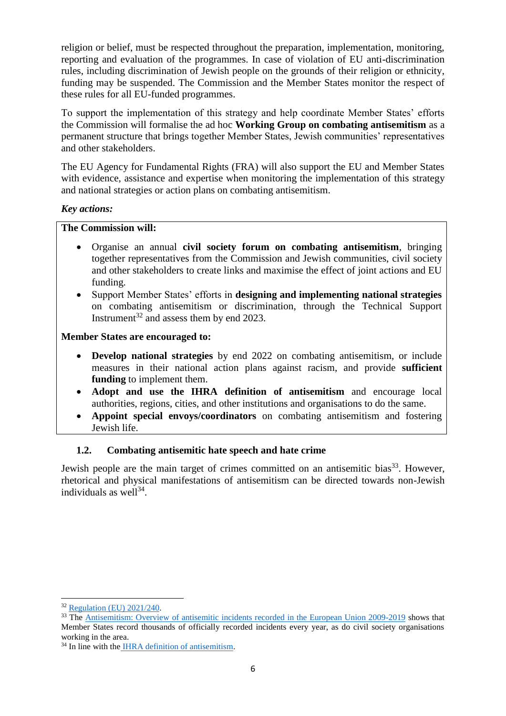religion or belief, must be respected throughout the preparation, implementation, monitoring, reporting and evaluation of the programmes. In case of violation of EU anti-discrimination rules, including discrimination of Jewish people on the grounds of their religion or ethnicity, funding may be suspended. The Commission and the Member States monitor the respect of these rules for all EU-funded programmes.

To support the implementation of this strategy and help coordinate Member States' efforts the Commission will formalise the ad hoc **Working Group on combating antisemitism** as a permanent structure that brings together Member States, Jewish communities' representatives and other stakeholders.

The EU Agency for Fundamental Rights (FRA) will also support the EU and Member States with evidence, assistance and expertise when monitoring the implementation of this strategy and national strategies or action plans on combating antisemitism.

## *Key actions:*

## **The Commission will:**

- Organise an annual **civil society forum on combating antisemitism**, bringing together representatives from the Commission and Jewish communities, civil society and other stakeholders to create links and maximise the effect of joint actions and EU funding.
- Support Member States' efforts in **designing and implementing national strategies** on combating antisemitism or discrimination, through the Technical Support Instrument<sup>32</sup> and assess them by end 2023.

### **Member States are encouraged to:**

- **Develop national strategies** by end 2022 on combating antisemitism, or include measures in their national action plans against racism, and provide **sufficient funding** to implement them.
- **Adopt and use the IHRA definition of antisemitism** and encourage local authorities, regions, cities, and other institutions and organisations to do the same.
- **Appoint special envoys/coordinators** on combating antisemitism and fostering Jewish life.

## **1.2. Combating antisemitic hate speech and hate crime**

Jewish people are the main target of crimes committed on an antisemitic bias<sup>33</sup>. However, rhetorical and physical manifestations of antisemitism can be directed towards non-Jewish individuals as well $^{34}$ .

 $\overline{a}$ <sup>32</sup> [Regulation \(EU\) 2021/240.](https://eur-lex.europa.eu/eli/reg/2021/240)

<sup>&</sup>lt;sup>33</sup> The Antisemitism: Overview o<u>f antisemitic incidents recorded in the European Union 2009-2019</u> shows that Member States record thousands of officially recorded incidents every year, as do civil society organisations working in the area.

<sup>&</sup>lt;sup>34</sup> In line with the [IHRA definition of antisemitism.](https://www.holocaustremembrance.com/resources/working-definitions-charters/working-definition-antisemitism)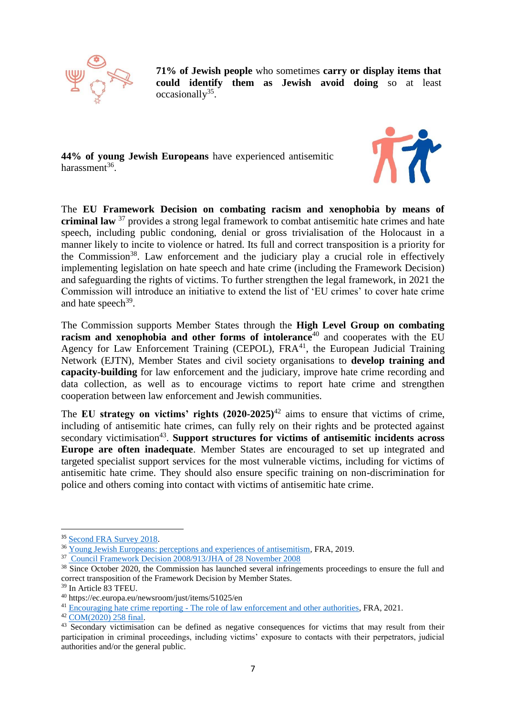

**71% of Jewish people** who sometimes **carry or display items that could identify them as Jewish avoid doing** so at least occasionally<sup>35</sup>.

**44% of young Jewish Europeans** have experienced antisemitic harassment<sup>36</sup>.



The **EU Framework Decision on combating racism and xenophobia by means of criminal law** <sup>37</sup> provides a strong legal framework to combat antisemitic hate crimes and hate speech, including public condoning, denial or gross trivialisation of the Holocaust in a manner likely to incite to violence or hatred. Its full and correct transposition is a priority for the Commission<sup>38</sup>. Law enforcement and the judiciary play a crucial role in effectively implementing legislation on hate speech and hate crime (including the Framework Decision) and safeguarding the rights of victims. To further strengthen the legal framework, in 2021 the Commission will introduce an initiative to extend the list of 'EU crimes' to cover hate crime and hate speech<sup>39</sup>.

The Commission supports Member States through the **High Level Group on combating racism and xenophobia and other forms of intolerance**<sup>40</sup> and cooperates with the EU Agency for Law Enforcement Training (CEPOL),  $FRA<sup>41</sup>$ , the European Judicial Training Network (EJTN), Member States and civil society organisations to **develop training and capacity-building** for law enforcement and the judiciary, improve hate crime recording and data collection, as well as to encourage victims to report hate crime and strengthen cooperation between law enforcement and Jewish communities.

The **EU strategy on victims' rights (2020-2025)**<sup>42</sup> aims to ensure that victims of crime, including of antisemitic hate crimes, can fully rely on their rights and be protected against secondary victimisation<sup>43</sup>. Support structures for victims of antisemitic incidents across **Europe are often inadequate**. Member States are encouraged to set up integrated and targeted specialist support services for the most vulnerable victims, including for victims of antisemitic hate crime. They should also ensure specific training on non-discrimination for police and others coming into contact with victims of antisemitic hate crime.

<sup>&</sup>lt;sup>35</sup> [Second FRA Survey 2018.](https://fra.europa.eu/sites/default/files/fra_uploads/fra-2018-experiences-and-perceptions-of-antisemitism-survey_en.pdf)

<sup>36</sup> [Young Jewish Europeans: perceptions and experiences of antisemitism](https://fra.europa.eu/sites/default/files/fra_uploads/fra-2019-young-jewish-europeans_en.pdf)*,* FRA, 2019.

<sup>37</sup> [Council Framework Decision 2008/913/JHA of 28 November 2008](https://eur-lex.europa.eu/legal-content/EN/TXT/?uri=CELEX%3A32008F0913)

<sup>&</sup>lt;sup>38</sup> Since October 2020, the Commission has launched several infringements proceedings to ensure the full and correct transposition of the Framework Decision by Member States.

<sup>39</sup> In Article 83 TFEU.

<sup>40</sup> https://ec.europa.eu/newsroom/just/items/51025/en

<sup>&</sup>lt;sup>41</sup> Encouraging hate crime reporting - [The role of law enforcement and other authorities,](https://fra.europa.eu/sites/default/files/fra_uploads/fra-2021-hate-crime-reporting_en.pdf) FRA, 2021.

<sup>42</sup> [COM\(2020\) 258 final.](https://eur-lex.europa.eu/legal-content/EN/TXT/?uri=CELEX%3A52020DC0258)

 $43$  Secondary victimisation can be defined as negative consequences for victims that may result from their participation in criminal proceedings, including victims' exposure to contacts with their perpetrators, judicial authorities and/or the general public.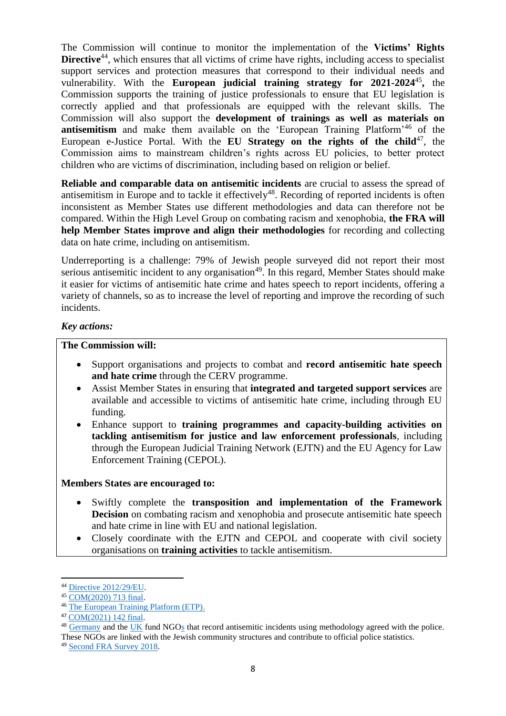The Commission will continue to monitor the implementation of the **Victims' Rights Directive**<sup>44</sup>, which ensures that all victims of crime have rights, including access to specialist support services and protection measures that correspond to their individual needs and vulnerability. With the **European judicial training strategy for 2021-2024**<sup>45</sup> **,** the Commission supports the training of justice professionals to ensure that EU legislation is correctly applied and that professionals are equipped with the relevant skills. The Commission will also support the **development of trainings as well as materials on antisemitism** and make them available on the 'European Training Platform'<sup>46</sup> of the European e-Justice Portal. With the **EU Strategy on the rights of the child**<sup>47</sup>, the Commission aims to mainstream children's rights across EU policies, to better protect children who are victims of discrimination, including based on religion or belief.

**Reliable and comparable data on antisemitic incidents** are crucial to assess the spread of antisemitism in Europe and to tackle it effectively<sup>48</sup>. Recording of reported incidents is often inconsistent as Member States use different methodologies and data can therefore not be compared. Within the High Level Group on combating racism and xenophobia, **the FRA will help Member States improve and align their methodologies** for recording and collecting data on hate crime, including on antisemitism.

Underreporting is a challenge: 79% of Jewish people surveyed did not report their most serious antisemitic incident to any organisation<sup>49</sup>. In this regard, Member States should make it easier for victims of antisemitic hate crime and hates speech to report incidents, offering a variety of channels, so as to increase the level of reporting and improve the recording of such incidents.

### *Key actions:*

#### **The Commission will:**

- Support organisations and projects to combat and **record antisemitic hate speech and hate crime** through the CERV programme.
- Assist Member States in ensuring that **integrated and targeted support services** are available and accessible to victims of antisemitic hate crime, including through EU funding.
- Enhance support to **training programmes and capacity-building activities on tackling antisemitism for justice and law enforcement professionals***,* including through the European Judicial Training Network (EJTN) and the EU Agency for Law Enforcement Training (CEPOL).

#### **Members States are encouraged to:**

- Swiftly complete the **transposition and implementation of the Framework Decision** on combating racism and xenophobia and prosecute antisemitic hate speech and hate crime in line with EU and national legislation.
- Closely coordinate with the EJTN and CEPOL and cooperate with civil society organisations on **training activities** to tackle antisemitism.

<sup>44</sup> [Directive 2012/29/EU.](https://eur-lex.europa.eu/legal-content/EN/TXT/?uri=CELEX:32012L0029)

<sup>45</sup> [COM\(2020\) 713 final.](https://ec.europa.eu/info/sites/default/files/2_en_act_part1_v4_0.pdf)

<sup>46</sup> [The European Training Platform \(ETP\).](https://e-justice.europa.eu/european-training-platform/)

<sup>47</sup> [COM\(2021\) 142 final.](https://eur-lex.europa.eu/legal-content/EN/TXT/HTML/?uri=CELEX:52021DC0142&from=en)

<sup>&</sup>lt;sup>48</sup> [Germany](https://www.report-antisemitism.de/) and the [UK](https://cst.org.uk/) fund NGOs that record antisemitic incidents using methodology agreed with the police.

These NGOs are linked with the Jewish community structures and contribute to official police statistics.

<sup>49</sup> [Second FRA Survey 2018.](https://fra.europa.eu/en/publication/2018/experiences-and-perceptions-antisemitism-second-survey-discrimination-and-hate)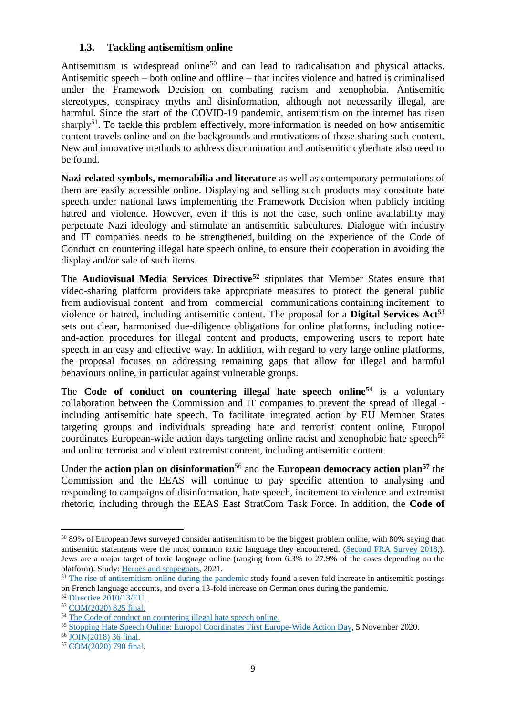### **1.3. Tackling antisemitism online**

Antisemitism is widespread online<sup>50</sup> and can lead to radicalisation and physical attacks. Antisemitic speech – both online and offline – that incites violence and hatred is criminalised under the Framework Decision on combating racism and xenophobia. Antisemitic stereotypes, conspiracy myths and disinformation, although not necessarily illegal, are harmful. Since the start of the COVID-19 pandemic, antisemitism on the internet has risen sharply<sup>51</sup>. To tackle this problem effectively, more information is needed on how antisemitic content travels online and on the backgrounds and motivations of those sharing such content. New and innovative methods to address discrimination and antisemitic cyberhate also need to be found.

**Nazi-related symbols, memorabilia and literature** as well as contemporary permutations of them are easily accessible online. Displaying and selling such products may constitute hate speech under national laws implementing the Framework Decision when publicly inciting hatred and violence. However, even if this is not the case, such online availability may perpetuate Nazi ideology and stimulate an antisemitic subcultures. Dialogue with industry and IT companies needs to be strengthened, building on the experience of the Code of Conduct on countering illegal hate speech online, to ensure their cooperation in avoiding the display and/or sale of such items.

The **Audiovisual Media Services Directive<sup>52</sup>** stipulates that Member States ensure that video-sharing platform providers take appropriate measures to protect the general public from audiovisual content and from commercial communications containing incitement to violence or hatred, including antisemitic content. The proposal for a **Digital Services Act<sup>53</sup>** sets out clear, harmonised due-diligence obligations for online platforms, including noticeand-action procedures for illegal content and products, empowering users to report hate speech in an easy and effective way. In addition, with regard to very large online platforms, the proposal focuses on addressing remaining gaps that allow for illegal and harmful behaviours online, in particular against vulnerable groups.

The **Code of conduct on countering illegal hate speech online<sup>54</sup>** is a voluntary collaboration between the Commission and IT companies to prevent the spread of illegal including antisemitic hate speech. To facilitate integrated action by EU Member States targeting groups and individuals spreading hate and terrorist content online, Europol coordinates European-wide action days targeting online racist and xenophobic hate speech<sup>55</sup> and online terrorist and violent extremist content, including antisemitic content.

Under the **action plan on disinformation**<sup>56</sup> and the **European democracy action plan<sup>57</sup> the** Commission and the EEAS will continue to pay specific attention to analysing and responding to campaigns of disinformation, hate speech, incitement to violence and extremist rhetoric, including through the EEAS East StratCom Task Force. In addition, the **Code of** 

<sup>50</sup> 89% of European Jews surveyed consider antisemitism to be the biggest problem online, with 80% saying that antisemitic statements were the most common toxic language they encountered. [\(Second FRA Survey 2018,](https://fra.europa.eu/sites/default/files/fra_uploads/fra-2018-experiences-and-perceptions-of-antisemitism-survey_en.pdf)). Jews are a major target of toxic language online (ranging from 6.3% to 27.9% of the cases depending on the platform). Study: [Heroes and scapegoats,](https://op.europa.eu/nl/publication-detail/-/publication/49e2ecf2-eae9-11eb-93a8-01aa75ed71a1/language-en) 2021.

<sup>&</sup>lt;sup>51</sup> [The rise of antisemitism online during the pandemic](https://op.europa.eu/en/publication-detail/-/publication/d73c833f-c34c-11eb-a925-01aa75ed71a1/language-en) study found a seven-fold increase in antisemitic postings on French language accounts, and over a 13-fold increase on German ones during the pandemic.

<sup>52</sup> [Directive 2010/13/EU.](https://eur-lex.europa.eu/legal-content/EN/ALL/?uri=celex%3A32010L0013)

<sup>53</sup> [COM\(2020\) 825 final.](https://eur-lex.europa.eu/legal-content/en/TXT/?qid=1608117147218&uri=COM%3A2020%3A825%3AFIN)

<sup>54</sup> [The Code of conduct on countering illegal hate speech online.](https://ec.europa.eu/info/policies/justice-and-fundamental-rights/combatting-discrimination/racism-and-xenophobia/eu-code-conduct-countering-illegal-hate-speech-online_en)

<sup>55</sup> [Stopping Hate Speech Online: Europol Coordinates First Europe-Wide Action Day,](https://www.europol.europa.eu/newsroom/news/stopping-hate-speech-online-europol-coordinates-first-europe-wide-action-day) 5 November 2020.

<sup>56</sup> [JOIN\(2018\) 36 final.](file:///C:/Users/SCHNUKA/AppData/Local/Microsoft/Windows/INetCache/Content.Outlook/A0I3GEHD/eu-communication-disinformation-euco-05122018_en.pdf%20(europa.eu))

<sup>57</sup> [COM\(2020\) 790 final.](https://eur-lex.europa.eu/legal-content/EN/TXT/PDF/?uri=CELEX:52020DC0790&from=EN)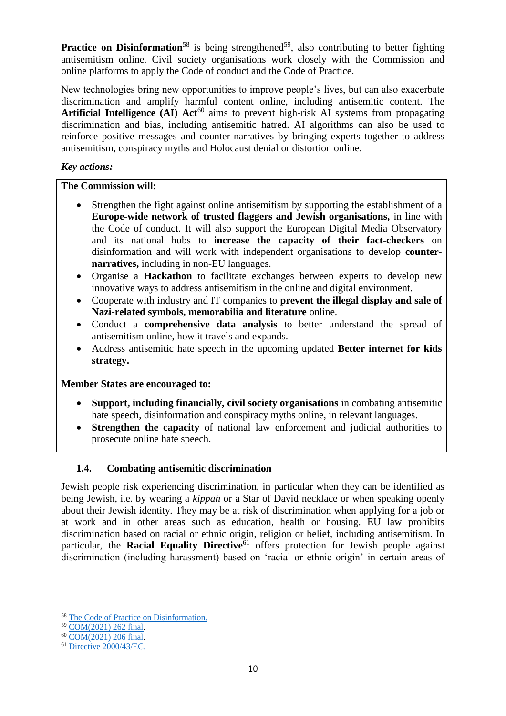**Practice on Disinformation**<sup>58</sup> is being strengthened<sup>59</sup>, also contributing to better fighting antisemitism online. Civil society organisations work closely with the Commission and online platforms to apply the Code of conduct and the Code of Practice.

New technologies bring new opportunities to improve people's lives, but can also exacerbate discrimination and amplify harmful content online, including antisemitic content. The **Artificial Intelligence (AI) Act<sup>60</sup>** aims to prevent high-risk AI systems from propagating discrimination and bias, including antisemitic hatred. AI algorithms can also be used to reinforce positive messages and counter-narratives by bringing experts together to address antisemitism, conspiracy myths and Holocaust denial or distortion online.

## *Key actions:*

## **The Commission will:**

- Strengthen the fight against online antisemitism by supporting the establishment of a **Europe-wide network of trusted flaggers and Jewish organisations,** in line with the Code of conduct. It will also support the European Digital Media Observatory and its national hubs to **increase the capacity of their fact-checkers** on disinformation and will work with independent organisations to develop **counternarratives,** including in non-EU languages.
- Organise a **Hackathon** to facilitate exchanges between experts to develop new innovative ways to address antisemitism in the online and digital environment.
- Cooperate with industry and IT companies to **prevent the illegal display and sale of Nazi-related symbols, memorabilia and literature** online.
- Conduct a **comprehensive data analysis** to better understand the spread of antisemitism online, how it travels and expands.
- Address antisemitic hate speech in the upcoming updated **Better internet for kids strategy.**

## **Member States are encouraged to:**

- **Support, including financially, civil society organisations** in combating antisemitic hate speech, disinformation and conspiracy myths online, in relevant languages.
- **Strengthen the capacity** of national law enforcement and judicial authorities to prosecute online hate speech.

# **1.4. Combating antisemitic discrimination**

Jewish people risk experiencing discrimination, in particular when they can be identified as being Jewish, i.e. by wearing a *kippah* or a Star of David necklace or when speaking openly about their Jewish identity. They may be at risk of discrimination when applying for a job or at work and in other areas such as education, health or housing. EU law prohibits discrimination based on racial or ethnic origin, religion or belief, including antisemitism. In particular, the **Racial Equality Directive**<sup>61</sup> offers protection for Jewish people against discrimination (including harassment) based on 'racial or ethnic origin' in certain areas of

1

<sup>58</sup> [The Code of Practice on Disinformation.](https://digital-strategy.ec.europa.eu/en/policies/code-practice-disinformation)

<sup>59</sup> [COM\(2021\) 262 final.](https://eur-lex.europa.eu/legal-content/EN/TXT/?uri=CELEX:52021DC0262&qid=1632411257186)

<sup>60</sup> [COM\(2021\) 206 final.](https://eur-lex.europa.eu/legal-content/EN/TXT/HTML/?uri=CELEX:52021PC0206&from=EN)

<sup>61</sup> [Directive 2000/43/EC.](https://eur-lex.europa.eu/legal-content/EN/TXT/PDF/?uri=CELEX:32000L0043&from=GA)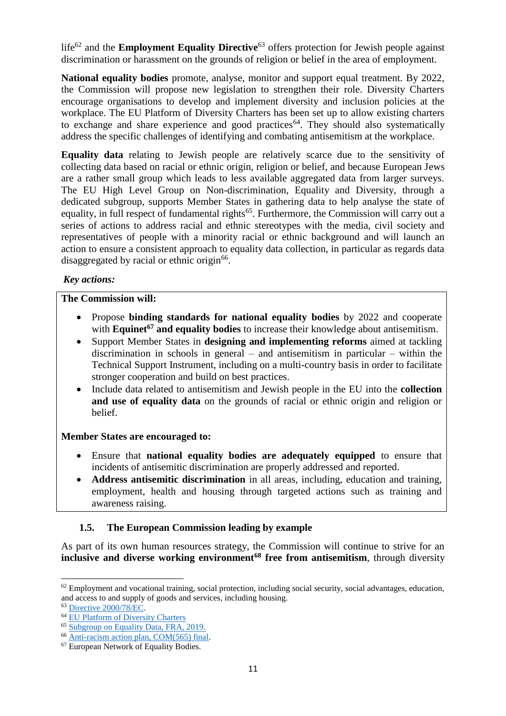life<sup>62</sup> and the **Employment Equality Directive**<sup>63</sup> offers protection for Jewish people against discrimination or harassment on the grounds of religion or belief in the area of employment.

**National equality bodies** promote, analyse, monitor and support equal treatment. By 2022, the Commission will propose new legislation to strengthen their role. Diversity Charters encourage organisations to develop and implement diversity and inclusion policies at the workplace. The EU Platform of Diversity Charters has been set up to allow existing charters to exchange and share experience and good practices<sup> $64$ </sup>. They should also systematically address the specific challenges of identifying and combating antisemitism at the workplace.

**Equality data** relating to Jewish people are relatively scarce due to the sensitivity of collecting data based on racial or ethnic origin, religion or belief, and because European Jews are a rather small group which leads to less available aggregated data from larger surveys. The EU High Level Group on Non-discrimination, Equality and Diversity, through a dedicated subgroup, supports Member States in gathering data to help analyse the state of equality, in full respect of fundamental rights<sup>65</sup>. Furthermore, the Commission will carry out a series of actions to address racial and ethnic stereotypes with the media, civil society and representatives of people with a minority racial or ethnic background and will launch an action to ensure a consistent approach to equality data collection, in particular as regards data disaggregated by racial or ethnic origin<sup>66</sup>.

## *Key actions:*

#### **The Commission will:**

- Propose **binding standards for national equality bodies** by 2022 and cooperate with **Equinet<sup>67</sup>** and equality bodies to increase their knowledge about antisemitism.
- Support Member States in **designing and implementing reforms** aimed at tackling discrimination in schools in general – and antisemitism in particular – within the Technical Support Instrument, including on a multi-country basis in order to facilitate stronger cooperation and build on best practices.
- Include data related to antisemitism and Jewish people in the EU into the **collection and use of equality data** on the grounds of racial or ethnic origin and religion or belief.

## **Member States are encouraged to:**

- Ensure that **national equality bodies are adequately equipped** to ensure that incidents of antisemitic discrimination are properly addressed and reported.
- **Address antisemitic discrimination** in all areas, including, education and training, employment, health and housing through targeted actions such as training and awareness raising.

# **1.5. The European Commission leading by example**

As part of its own human resources strategy, the Commission will continue to strive for an **inclusive and diverse working environment<sup>68</sup> free from antisemitism**, through diversity

 $62$  Employment and vocational training, social protection, including social security, social advantages, education, and access to and supply of goods and services, including housing.

<sup>63</sup> [Directive 2000/78/EC.](https://eur-lex.europa.eu/legal-content/EN/TXT/?uri=celex%3A32000L0078)

<sup>64</sup> [EU Platform of Diversity Charters](https://ec.europa.eu/info/policies/justice-and-fundamental-rights/combatting-discrimination/tackling-discrimination/diversity-management/eu-platform-diversity-charters_en)

<sup>65</sup> [Subgroup on Equality Data, FRA, 2019.](https://fra.europa.eu/en/project/2019/subgroup-equality-data)

<sup>66</sup> Anti-racism action [plan, COM\(565\) final.](https://ec.europa.eu/info/sites/default/files/a_union_of_equality_eu_action_plan_against_racism_2020_-2025_en.pdf)

<sup>&</sup>lt;sup>67</sup> European Network of Equality Bodies.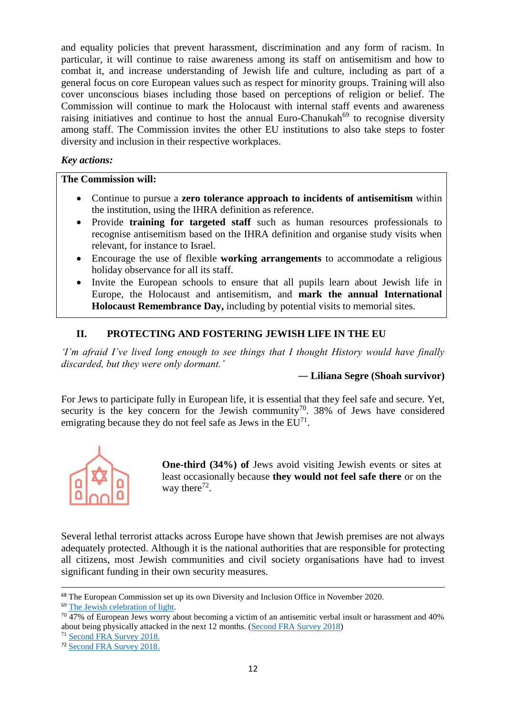and equality policies that prevent harassment, discrimination and any form of racism. In particular, it will continue to raise awareness among its staff on antisemitism and how to combat it, and increase understanding of Jewish life and culture, including as part of a general focus on core European values such as respect for minority groups. Training will also cover unconscious biases including those based on perceptions of religion or belief. The Commission will continue to mark the Holocaust with internal staff events and awareness raising initiatives and continue to host the annual Euro-Chanukah $^{69}$  to recognise diversity among staff. The Commission invites the other EU institutions to also take steps to foster diversity and inclusion in their respective workplaces.

## *Key actions:*

## **The Commission will:**

- Continue to pursue a **zero tolerance approach to incidents of antisemitism** within the institution, using the IHRA definition as reference.
- Provide **training for targeted staff** such as human resources professionals to recognise antisemitism based on the IHRA definition and organise study visits when relevant, for instance to Israel.
- Encourage the use of flexible **working arrangements** to accommodate a religious holiday observance for all its staff.
- Invite the European schools to ensure that all pupils learn about Jewish life in Europe, the Holocaust and antisemitism, and **mark the annual International Holocaust Remembrance Day,** including by potential visits to memorial sites.

# **II. PROTECTING AND FOSTERING JEWISH LIFE IN THE EU**

*'I'm afraid I've lived long enough to see things that I thought History would have finally discarded, but they were only dormant.'*

## **― Liliana Segre (Shoah survivor)**

For Jews to participate fully in European life, it is essential that they feel safe and secure. Yet, security is the key concern for the Jewish community<sup>70</sup>. 38% of Jews have considered emigrating because they do not feel safe as Jews in the  $EU<sup>71</sup>$ .



**One-third (34%) of Jews avoid visiting Jewish events or sites at** least occasionally because **they would not feel safe there** or on the way there $72$ .

Several lethal terrorist attacks across Europe have shown that Jewish premises are not always adequately protected. Although it is the national authorities that are responsible for protecting all citizens, most Jewish communities and civil society organisations have had to invest significant funding in their own security measures.

<sup>&</sup>lt;sup>68</sup> The European Commission set up its own Diversity and Inclusion Office in November 2020.

<sup>69</sup> [The Jewish celebration of light.](https://www.chabad.org/holidays/chanukah/article_cdo/aid/4203685/jewish/What-Does-Chanukah-Actually-Mean.htm)

<sup>&</sup>lt;sup>70</sup> 47% of European Jews worry about becoming a victim of an antisemitic verbal insult or harassment and 40% about being physically attacked in the next 12 months. [\(Second FRA Survey 2018\)](https://fra.europa.eu/sites/default/files/fra_uploads/fra-2018-experiences-and-perceptions-of-antisemitism-survey_en.pdf)

<sup>71</sup> [Second FRA Survey 2018.](https://fra.europa.eu/sites/default/files/fra_uploads/fra-2018-experiences-and-perceptions-of-antisemitism-survey_en.pdf)

<sup>72</sup> [Second FRA Survey 2018.](https://fra.europa.eu/sites/default/files/fra_uploads/fra-2018-experiences-and-perceptions-of-antisemitism-survey_en.pdf)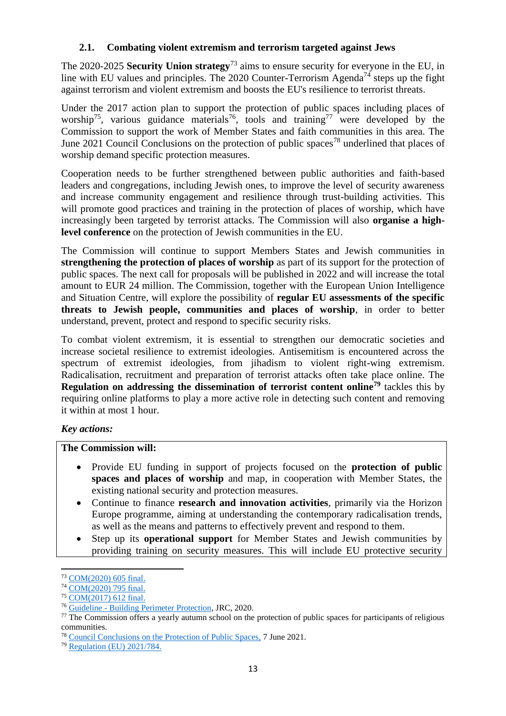## **2.1. Combating violent extremism and terrorism targeted against Jews**

The 2020-2025 **Security Union strategy**<sup>73</sup> aims to ensure security for everyone in the EU, in line with EU values and principles. The 2020 Counter-Terrorism Agenda<sup>74</sup> steps up the fight against terrorism and violent extremism and boosts the EU's resilience to terrorist threats.

Under the 2017 action plan to support the protection of public spaces including places of worship<sup>75</sup>, various guidance materials<sup>76</sup>, tools and training<sup>77</sup> were developed by the Commission to support the work of Member States and faith communities in this area. The June 2021 Council Conclusions on the protection of public spaces<sup>78</sup> underlined that places of worship demand specific protection measures.

Cooperation needs to be further strengthened between public authorities and faith-based leaders and congregations, including Jewish ones, to improve the level of security awareness and increase community engagement and resilience through trust-building activities. This will promote good practices and training in the protection of places of worship, which have increasingly been targeted by terrorist attacks. The Commission will also **organise a highlevel conference** on the protection of Jewish communities in the EU.

The Commission will continue to support Members States and Jewish communities in **strengthening the protection of places of worship** as part of its support for the protection of public spaces. The next call for proposals will be published in 2022 and will increase the total amount to EUR 24 million. The Commission, together with the European Union Intelligence and Situation Centre, will explore the possibility of **regular EU assessments of the specific threats to Jewish people, communities and places of worship**, in order to better understand, prevent, protect and respond to specific security risks.

To combat violent extremism, it is essential to strengthen our democratic societies and increase societal resilience to extremist ideologies. Antisemitism is encountered across the spectrum of extremist ideologies, from jihadism to violent right-wing extremism. Radicalisation, recruitment and preparation of terrorist attacks often take place online. The **Regulation on addressing the dissemination of terrorist content online<sup>79</sup>** tackles this by requiring online platforms to play a more active role in detecting such content and removing it within at most 1 hour.

## *Key actions:*

## **The Commission will:**

- Provide EU funding in support of projects focused on the **protection of public spaces and places of worship** and map, in cooperation with Member States, the existing national security and protection measures.
- Continue to finance **research and innovation activities**, primarily via the Horizon Europe programme, aiming at understanding the contemporary radicalisation trends, as well as the means and patterns to effectively prevent and respond to them.
- Step up its **operational support** for Member States and Jewish communities by providing training on security measures. This will include EU protective security

**<sup>.</sup>** <sup>73</sup> [COM\(2020\) 605 final.](https://eur-lex.europa.eu/legal-content/EN/TXT/?qid=1596452256370&uri=CELEX:52020DC0605)

<sup>74</sup> [COM\(2020\) 795 final.](https://ec.europa.eu/home-affairs/system/files/2020-12/09122020_communication_commission_european_parliament_the_council_eu_agenda_counter_terrorism_po-2020-9031_com-2020_795_en.pdf)

<sup>75</sup> [COM\(2017\) 612 final.](https://eur-lex.europa.eu/legal-content/EN/TXT/?uri=CELEX%3A52017DC0612)

<sup>76</sup> Guideline - [Building Perimeter Protection,](https://op.europa.eu/en/publication-detail/-/publication/6d7e5311-f7c3-11ea-991b-01aa75ed71a1/language-en) JRC, 2020.

 $77$  The Commission offers a yearly autumn school on the protection of public spaces for participants of religious communities.

<sup>78</sup> [Council Conclusions on the Protection of Public Spaces,](https://data.consilium.europa.eu/doc/document/ST-9545-2021-INIT/en/pdf) 7 June 2021.

<sup>79</sup> [Regulation \(EU\) 2021/784.](https://eur-lex.europa.eu/legal-content/EN/TXT/HTML/?uri=CELEX:32021R0784&from=EN)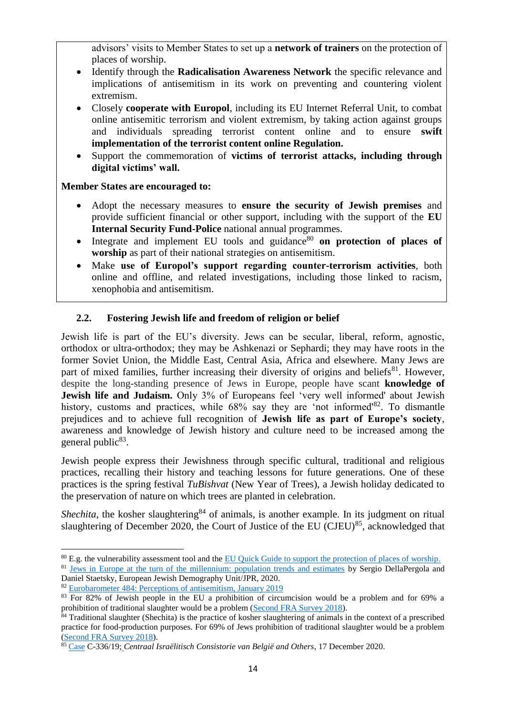advisors' visits to Member States to set up a **network of trainers** on the protection of places of worship.

- Identify through the **Radicalisation Awareness Network** the specific relevance and implications of antisemitism in its work on preventing and countering violent extremism.
- Closely **cooperate with Europol**, including its EU Internet Referral Unit, to combat online antisemitic terrorism and violent extremism, by taking action against groups and individuals spreading terrorist content online and to ensure **swift implementation of the terrorist content online Regulation.**
- Support the commemoration of **victims of terrorist attacks, including through digital victims' wall.**

## **Member States are encouraged to:**

- Adopt the necessary measures to **ensure the security of Jewish premises** and provide sufficient financial or other support, including with the support of the **EU Internal Security Fund-Police** national annual programmes.
- $\bullet$  Integrate and implement EU tools and guidance<sup>80</sup> on protection of places of **worship** as part of their national strategies on antisemitism.
- Make **use of Europol's support regarding counter-terrorism activities**, both online and offline, and related investigations, including those linked to racism, xenophobia and antisemitism.

# **2.2. Fostering Jewish life and freedom of religion or belief**

Jewish life is part of the EU's diversity. Jews can be secular, liberal, reform, agnostic, orthodox or ultra-orthodox; they may be Ashkenazi or Sephardi; they may have roots in the former Soviet Union, the Middle East, Central Asia, Africa and elsewhere. Many Jews are part of mixed families, further increasing their diversity of origins and beliefs<sup>81</sup>. However, despite the long-standing presence of Jews in Europe, people have scant **knowledge of Jewish life and Judaism.** Only 3% of Europeans feel 'very well informed' about Jewish history, customs and practices, while 68% say they are 'not informed'<sup>82</sup>. To dismantle prejudices and to achieve full recognition of **Jewish life as part of Europe's society**, awareness and knowledge of Jewish history and culture need to be increased among the general public<sup>83</sup>.

Jewish people express their Jewishness through specific cultural, traditional and religious practices, recalling their history and teaching lessons for future generations. One of these practices is the spring festival *TuBishvat* (New Year of Trees), a Jewish holiday dedicated to the preservation of nature on which trees are planted in celebration.

*Shechita*, the kosher slaughtering<sup>84</sup> of animals, is another example. In its judgment on ritual slaughtering of December 2020, the Court of Justice of the EU (CJEU)<sup>85</sup>, acknowledged that

**<sup>.</sup>** <sup>80</sup> E.g. the vulnerability assessment tool and the [EU Quick Guide to support the protection of places of worship.](http://www.comece.eu/dl/mMmlJKJKkLmoJqx4KJK/EU_Quick_Guide_to_support_the_protection_of_Places_of_Worship_May_2021_HL.pdf)

<sup>&</sup>lt;sup>81</sup> [Jews in Europe at the turn of the millennium: population trends and estimates](https://www.jpr.org.uk/documents/JPR_2020.Jews_in_Europe_at_the_turn_of_the_Millennium.pdf) by Sergio DellaPergola and Daniel Staetsky*,* European Jewish Demography Unit/JPR, 2020.

<sup>82</sup> [Eurobarometer 484: Perceptions of antisemitism, January 2019](https://europa.eu/eurobarometer/surveys/detail/2220)

<sup>&</sup>lt;sup>83</sup> For 82% of Jewish people in the EU a prohibition of circumcision would be a problem and for 69% a prohibition of traditional slaughter would be a problem [\(Second FRA Survey 2018\)](https://fra.europa.eu/sites/default/files/fra_uploads/fra-2018-experiences-and-perceptions-of-antisemitism-survey_en.pdf).

<sup>&</sup>lt;sup>84</sup> Traditional slaughter (Shechita) is the practice of kosher slaughtering of animals in the context of a prescribed practice for food-production purposes. For 69% of Jews prohibition of traditional slaughter would be a problem [\(Second FRA Survey 2018\)](https://fra.europa.eu/sites/default/files/fra_uploads/fra-2018-experiences-and-perceptions-of-antisemitism-survey_en.pdf).

<sup>85</sup> [Case](https://curia.europa.eu/jcms/upload/docs/application/pdf/2020-12/cp200163en.pdf) C-336/19; *Centraal Israëlitisch Consistorie van België and Others*, 17 December 2020.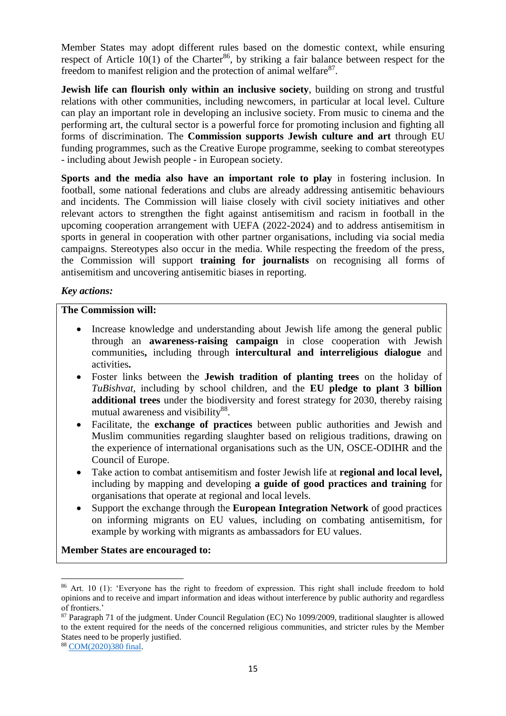Member States may adopt different rules based on the domestic context, while ensuring respect of Article  $10(1)$  of the Charter<sup>86</sup>, by striking a fair balance between respect for the freedom to manifest religion and the protection of animal welfare $87$ .

**Jewish life can flourish only within an inclusive society**, building on strong and trustful relations with other communities, including newcomers, in particular at local level. Culture can play an important role in developing an inclusive society. From music to cinema and the performing art, the cultural sector is a powerful force for promoting inclusion and fighting all forms of discrimination. The **Commission supports Jewish culture and art** through EU funding programmes, such as the Creative Europe programme, seeking to combat stereotypes - including about Jewish people - in European society.

**Sports and the media also have an important role to play** in fostering inclusion. In football, some national federations and clubs are already addressing antisemitic behaviours and incidents. The Commission will liaise closely with civil society initiatives and other relevant actors to strengthen the fight against antisemitism and racism in football in the upcoming cooperation arrangement with UEFA (2022-2024) and to address antisemitism in sports in general in cooperation with other partner organisations, including via social media campaigns. Stereotypes also occur in the media. While respecting the freedom of the press, the Commission will support **training for journalists** on recognising all forms of antisemitism and uncovering antisemitic biases in reporting.

## *Key actions:*

### **The Commission will:**

- Increase knowledge and understanding about Jewish life among the general public through an **awareness-raising campaign** in close cooperation with Jewish communities**,** including through **intercultural and interreligious dialogue** and activities**.**
- Foster links between the **Jewish tradition of planting trees** on the holiday of *TuBishvat*, including by school children, and the **EU pledge to plant 3 billion additional trees** under the [biodiversity and forest strategy for](https://ec.europa.eu/environment/strategy/biodiversity-strategy-2030_en) 2030, thereby raising mutual awareness and visibility<sup>88</sup>.
- Facilitate, the **exchange of practices** between public authorities and Jewish and Muslim communities regarding slaughter based on religious traditions, drawing on the experience of international organisations such as the UN, OSCE-ODIHR and the Council of Europe.
- Take action to combat antisemitism and foster Jewish life at **regional and local level,**  including by mapping and developing **a guide of good practices and training** for organisations that operate at regional and local levels.
- Support the exchange through the **European Integration Network** of good practices on informing migrants on EU values, including on combating antisemitism, for example by working with migrants as ambassadors for EU values.

**Member States are encouraged to:**

<sup>&</sup>lt;sup>86</sup> Art. 10 (1): 'Everyone has the right to freedom of expression. This right shall include freedom to hold opinions and to receive and impart information and ideas without interference by public authority and regardless of frontiers.'

<sup>87</sup> Paragraph 71 of the judgment. Under Council Regulation (EC) No 1099/2009, traditional slaughter is allowed to the extent required for the needs of the concerned religious communities, and stricter rules by the Member States need to be properly justified.

<sup>88</sup> [COM\(2020\)380 final.](https://eur-lex.europa.eu/legal-content/EN/TXT/?uri=CELEX:52020DC0380)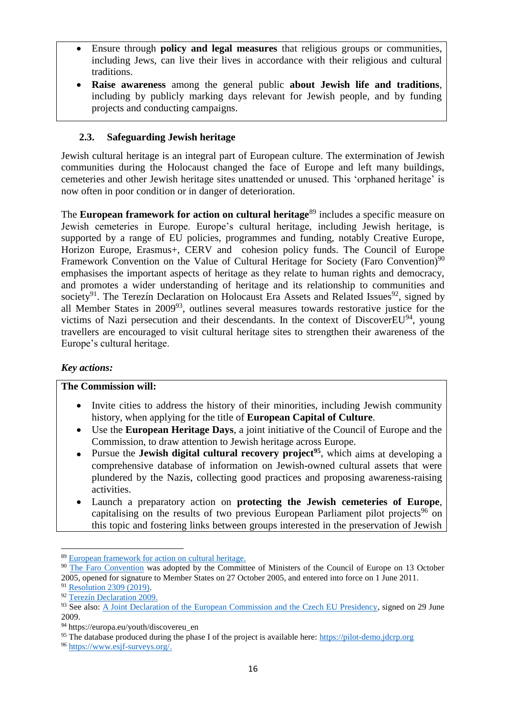- Ensure through **policy and legal measures** that religious groups or communities, including Jews, can live their lives in accordance with their religious and cultural traditions.
- **Raise awareness** among the general public **about Jewish life and traditions**, including by publicly marking days relevant for Jewish people, and by funding projects and conducting campaigns.

## **2.3. Safeguarding Jewish heritage**

Jewish cultural heritage is an integral part of European culture. The extermination of Jewish communities during the Holocaust changed the face of Europe and left many buildings, cemeteries and other Jewish heritage sites unattended or unused. This 'orphaned heritage' is now often in poor condition or in danger of deterioration.

The **European framework for action on cultural heritage**<sup>89</sup> includes a specific measure on Jewish cemeteries in Europe. Europe's cultural heritage, including Jewish heritage, is supported by a range of EU policies, programmes and funding, notably Creative Europe, Horizon Europe, Erasmus+, CERV and cohesion policy funds. The Council of Europe Framework Convention on the Value of Cultural Heritage for Society (Faro Convention)<sup>90</sup> emphasises the important aspects of heritage as they relate to human rights and democracy, and promotes a wider understanding of heritage and its relationship to communities and society<sup>91</sup>. The Terezín Declaration on Holocaust Era Assets and Related Issues<sup>92</sup>, signed by all Member States in 2009<sup>93</sup>, outlines several measures towards restorative justice for the victims of Nazi persecution and their descendants. In the context of Discover $EU^{94}$ , young travellers are encouraged to visit cultural heritage sites to strengthen their awareness of the Europe's cultural heritage.

## *Key actions:*

#### **The Commission will:**

- Invite cities to address the history of their minorities, including Jewish community history, when applying for the title of **European Capital of Culture**.
- Use the **European Heritage Days**, a joint initiative of the Council of Europe and the Commission, to draw attention to Jewish heritage across Europe.
- Pursue the **Jewish digital cultural recovery project<sup>95</sup>**, which aims at developing a comprehensive database of information on Jewish-owned cultural assets that were plundered by the Nazis, collecting good practices and proposing awareness-raising activities.
- Launch a preparatory action on **protecting the Jewish cemeteries of Europe**, capitalising on the results of two previous European Parliament pilot projects<sup>96</sup> on this topic and fostering links between groups interested in the preservation of Jewish

**<sup>.</sup>** <sup>89</sup> [European framework for action on cultural heritage.](https://op.europa.eu/en/publication-detail/-/publication/5a9c3144-80f1-11e9-9f05-01aa75ed71a1)

<sup>&</sup>lt;sup>90</sup> [The Faro Convention](https://www.coe.int/en/web/venice/faro-convention) was adopted by the Committee of Ministers of the Council of Europe on 13 October 2005, opened for signature to Member States on 27 October 2005, and entered into force on 1 June 2011.

<sup>91</sup> [Resolution 2309 \(2019\).](http://assembly.coe.int/nw/xml/XRef/Xref-XML2HTML-en.asp?fileid=28247&lang=en)

<sup>92</sup> Terezín [Declaration 2009.](https://www.mzv.cz/jnp/en/foreign_relations/terezin_declaration/index.html)

<sup>93</sup> See also: A Joint Declaration [of the European Commission and the Czech EU Presidency,](https://www.lootedart.com/web_images/pdf2018/1.1.3%20Joint_Declaration_EU_CZ_final.pdf) signed on 29 June 2009.

<sup>94</sup> https://europa.eu/youth/discovereu\_en

<sup>&</sup>lt;sup>95</sup> The database produced during the phase I of the project is available here: [https://pilot-demo.jdcrp.org](https://pilot-demo.jdcrp.org/)

<sup>96</sup> [https://www.esjf-surveys.org/.](https://www.esjf-surveys.org/)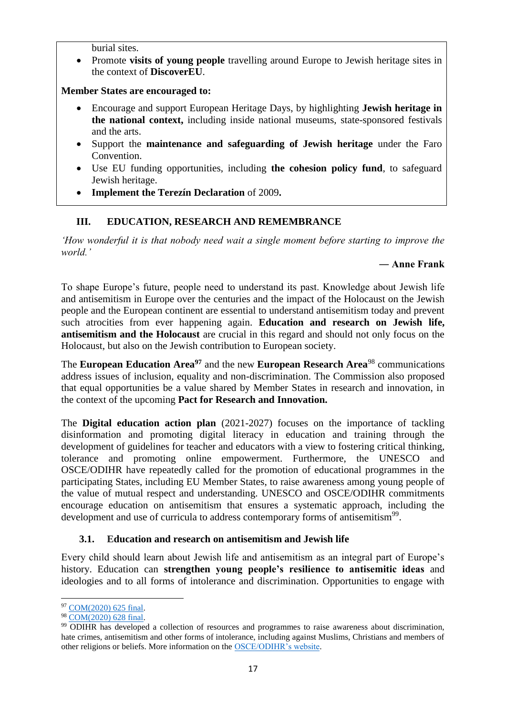burial sites.

 Promote **visits of young people** travelling around Europe to Jewish heritage sites in the context of **DiscoverEU**.

#### **Member States are encouraged to:**

- Encourage and support European Heritage Days, by highlighting **Jewish heritage in the national context,** including inside national museums, state-sponsored festivals and the arts.
- Support the **maintenance and safeguarding of Jewish heritage** under the Faro Convention.
- Use EU funding opportunities, including **the cohesion policy fund**, to safeguard Jewish heritage.
- **Implement the Terezín Declaration** of 2009**.**

## **III. EDUCATION, RESEARCH AND REMEMBRANCE**

*'How wonderful it is that nobody need wait a single moment before starting to improve the world.'* 

### **― Anne Frank**

To shape Europe's future, people need to understand its past. Knowledge about Jewish life and antisemitism in Europe over the centuries and the impact of the Holocaust on the Jewish people and the European continent are essential to understand antisemitism today and prevent such atrocities from ever happening again. **Education and research on Jewish life, antisemitism and the Holocaust** are crucial in this regard and should not only focus on the Holocaust, but also on the Jewish contribution to European society.

The **European Education Area<sup>97</sup>** and the new **European Research Area**<sup>98</sup> communications address issues of inclusion, equality and non-discrimination. The Commission also proposed that equal opportunities be a value shared by Member States in research and innovation, in the context of the upcoming **Pact for Research and Innovation.**

The **Digital education action plan** (2021-2027) focuses on the importance of tackling disinformation and promoting digital literacy in education and training through the development of guidelines for teacher and educators with a view to fostering critical thinking, tolerance and promoting online empowerment. Furthermore, the UNESCO and OSCE/ODIHR have repeatedly called for the promotion of educational programmes in the participating States, including EU Member States, to raise awareness among young people of the value of mutual respect and understanding. UNESCO and OSCE/ODIHR commitments encourage education on antisemitism that ensures a systematic approach, including the development and use of curricula to address contemporary forms of antisemitism<sup>99</sup>.

## **3.1. Education and research on antisemitism and Jewish life**

Every child should learn about Jewish life and antisemitism as an integral part of Europe's history. Education can **strengthen young people's resilience to antisemitic ideas** and ideologies and to all forms of intolerance and discrimination. Opportunities to engage with

 $\overline{a}$ <sup>97</sup> [COM\(2020\) 625 final.](https://eur-lex.europa.eu/legal-content/EN/TXT/?uri=CELEX:52020DC0625)

<sup>98</sup> [COM\(2020\) 628 final.](https://eur-lex.europa.eu/legal-content/EN/TXT/?uri=COM:2020:628:FIN)

<sup>99</sup> ODIHR has developed a collection of resources and programmes to raise awareness about discrimination, hate crimes, antisemitism and other forms of intolerance, including against Muslims, Christians and members of other religions or beliefs. More information on the [OSCE/ODIHR's website.](https://www.osce.org/odihr/tolerance-and-non-discrimination)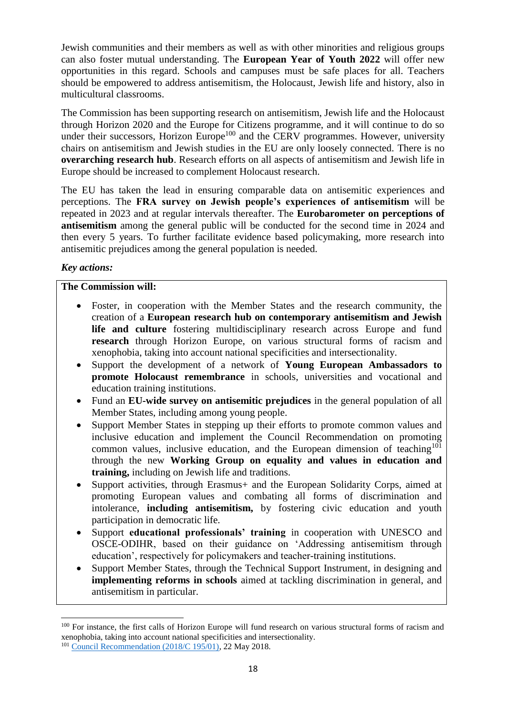Jewish communities and their members as well as with other minorities and religious groups can also foster mutual understanding. The **European Year of Youth 2022** will offer new opportunities in this regard. Schools and campuses must be safe places for all. Teachers should be empowered to address antisemitism, the Holocaust, Jewish life and history, also in multicultural classrooms.

The Commission has been supporting research on antisemitism, Jewish life and the Holocaust through Horizon 2020 and the Europe for Citizens programme, and it will continue to do so under their successors, Horizon Europe<sup>100</sup> and the CERV programmes. However, university chairs on antisemitism and Jewish studies in the EU are only loosely connected. There is no **overarching research hub**. Research efforts on all aspects of antisemitism and Jewish life in Europe should be increased to complement Holocaust research.

The EU has taken the lead in ensuring comparable data on antisemitic experiences and perceptions. The **FRA survey on Jewish people's experiences of antisemitism** will be repeated in 2023 and at regular intervals thereafter. The **Eurobarometer on perceptions of antisemitism** among the general public will be conducted for the second time in 2024 and then every 5 years. To further facilitate evidence based policymaking, more research into antisemitic prejudices among the general population is needed.

## *Key actions:*

**.** 

## **The Commission will:**

- Foster, in cooperation with the Member States and the research community, the creation of a **European research hub on contemporary antisemitism and Jewish life and culture** fostering multidisciplinary research across Europe and fund **research** through Horizon Europe, on various structural forms of racism and xenophobia, taking into account national specificities and intersectionality.
- Support the development of a network of **Young European Ambassadors to promote Holocaust remembrance** in schools, universities and vocational and education training institutions.
- Fund an **EU-wide survey on antisemitic prejudices** in the general population of all Member States, including among young people.
- Support Member States in stepping up their efforts to promote common values and inclusive education and implement the Council Recommendation on promoting common values, inclusive education, and the European dimension of teaching<sup>101</sup> through the new **Working Group on equality and values in education and training,** including on Jewish life and traditions.
- Support activities, through Erasmus+ and the European Solidarity Corps, aimed at promoting European values and combating all forms of discrimination and intolerance, **including antisemitism,** by fostering civic education and youth participation in democratic life.
- Support **educational professionals' training** in cooperation with UNESCO and OSCE-ODIHR, based on their guidance on 'Addressing antisemitism through education', respectively for policymakers and teacher-training institutions.
- Support Member States, through the Technical Support Instrument, in designing and **implementing reforms in schools** aimed at tackling discrimination in general, and antisemitism in particular.

<sup>&</sup>lt;sup>100</sup> For instance, the first calls of Horizon Europe will fund research on various structural forms of racism and xenophobia, taking into account national specificities and intersectionality.

<sup>101</sup> [Council Recommendation \(2018/C 195/01\),](https://eur-lex.europa.eu/legal-content/EN/TXT/?uri=CELEX%3A32018H0607%2801%29) 22 May 2018.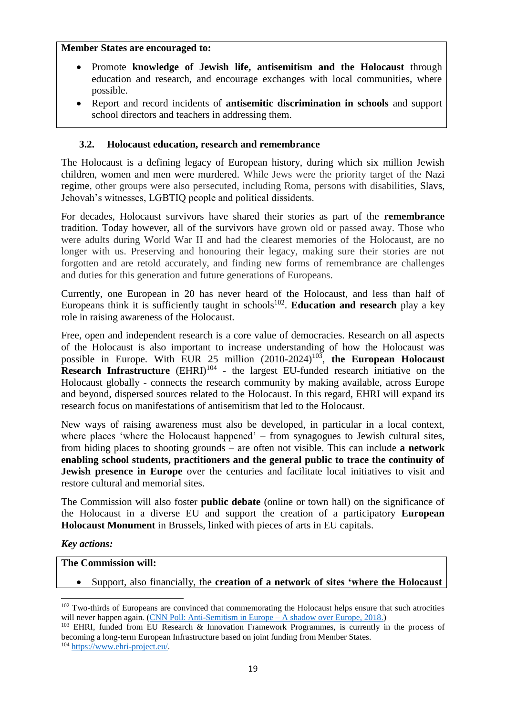#### **Member States are encouraged to:**

- Promote **knowledge of Jewish life, antisemitism and the Holocaust** through education and research, and encourage exchanges with local communities, where possible.
- Report and record incidents of **antisemitic discrimination in schools** and support school directors and teachers in addressing them.

## **3.2. Holocaust education, research and remembrance**

The Holocaust is a defining legacy of European history, during which six million Jewish children, women and men were murdered. While Jews were the priority target of the Nazi regime, other groups were also persecuted, including Roma, persons with disabilities, Slavs, Jehovah's witnesses, LGBTIQ people and political dissidents.

For decades, Holocaust survivors have shared their stories as part of the **remembrance** tradition. Today however, all of the survivors have grown old or passed away. Those who were adults during World War II and had the clearest memories of the Holocaust, are no longer with us. Preserving and honouring their legacy, making sure their stories are not forgotten and are retold accurately, and finding new forms of remembrance are challenges and duties for this generation and future generations of Europeans.

Currently, one European in 20 has never heard of the Holocaust, and less than half of Europeans think it is sufficiently taught in schools<sup>102</sup>. Education and research play a key role in raising awareness of the Holocaust.

Free, open and independent research is a core value of democracies. Research on all aspects of the Holocaust is also important to increase understanding of how the Holocaust was possible in Europe. With EUR  $25$  million  $(2010-2024)^{103}$ , the European Holocaust **Research Infrastructure** (EHRI)<sup>104</sup> - the largest EU-funded research initiative on the Holocaust globally - connects the research community by making available, across Europe and beyond, dispersed sources related to the Holocaust. In this regard, EHRI will expand its research focus on manifestations of antisemitism that led to the Holocaust.

New ways of raising awareness must also be developed, in particular in a local context, where places 'where the Holocaust happened' – from synagogues to Jewish cultural sites, from hiding places to shooting grounds – are often not visible. This can include **a network enabling school students, practitioners and the general public to trace the continuity of Jewish presence in Europe** over the centuries and facilitate local initiatives to visit and restore cultural and memorial sites.

The Commission will also foster **public debate** (online or town hall) on the significance of the Holocaust in a diverse EU and support the creation of a participatory **European Holocaust Monument** in Brussels, linked with pieces of arts in EU capitals.

## *Key actions:*

 $\overline{a}$ 

#### **The Commission will:**

Support, also financially, the **creation of a network of sites 'where the Holocaust** 

<sup>&</sup>lt;sup>102</sup> Two-thirds of Europeans are convinced that commemorating the Holocaust helps ensure that such atrocities will never happen again. [\(CNN Poll: Anti-Semitism in Europe –](https://edition.cnn.com/interactive/2018/11/europe/antisemitism-poll-2018-intl/) A shadow over Europe, 2018.)

<sup>103</sup> EHRI, funded from EU Research & Innovation Framework Programmes, is currently in the process of becoming a long-term European Infrastructure based on joint funding from Member States.

<sup>104</sup> [https://www.ehri-project.eu/.](https://www.ehri-project.eu/)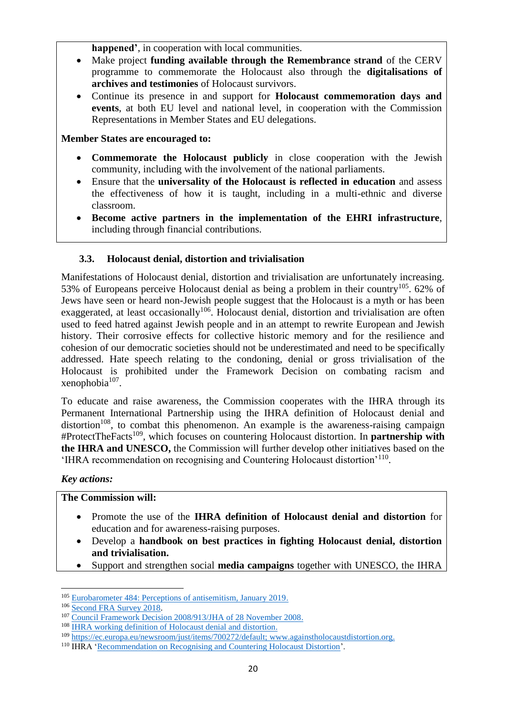**happened'**, in cooperation with local communities.

- Make project **funding available through the Remembrance strand** of the CERV programme to commemorate the Holocaust also through the **digitalisations of archives and testimonies** of Holocaust survivors.
- Continue its presence in and support for **Holocaust commemoration days and events**, at both EU level and national level, in cooperation with the Commission Representations in Member States and EU delegations.

### **Member States are encouraged to:**

- **Commemorate the Holocaust publicly** in close cooperation with the Jewish community, including with the involvement of the national parliaments.
- Ensure that the **universality of the Holocaust is reflected in education** and assess the effectiveness of how it is taught, including in a multi-ethnic and diverse classroom.
- **Become active partners in the implementation of the EHRI infrastructure**, including through financial contributions.

## **3.3. Holocaust denial, distortion and trivialisation**

Manifestations of Holocaust denial, distortion and trivialisation are unfortunately increasing. 53% of Europeans perceive Holocaust denial as being a problem in their country<sup>105</sup>. 62% of Jews have seen or heard non-Jewish people suggest that the Holocaust is a myth or has been exaggerated, at least occasionally<sup>106</sup>. Holocaust denial, distortion and trivialisation are often used to feed hatred against Jewish people and in an attempt to rewrite European and Jewish history. Their corrosive effects for collective historic memory and for the resilience and cohesion of our democratic societies should not be underestimated and need to be specifically addressed. Hate speech relating to the condoning, denial or gross trivialisation of the Holocaust is prohibited under the Framework Decision on combating racism and  $x$ enophobia $^{107}$ .

To educate and raise awareness, the Commission cooperates with the IHRA through its Permanent International Partnership using the IHRA definition of Holocaust denial and  $distortion<sup>108</sup>$ , to combat this phenomenon. An example is the awareness-raising campaign #ProtectTheFacts<sup>109</sup>, which focuses on countering Holocaust distortion. In **partnership with the IHRA and UNESCO,** the Commission will further develop other initiatives based on the 'IHRA recommendation on recognising and Countering Holocaust distortion'<sup>110</sup>.

*Key actions:* 

## **The Commission will:**

- Promote the use of the **IHRA definition of Holocaust denial and distortion** for education and for awareness-raising purposes.
- Develop a **handbook on best practices in fighting Holocaust denial, distortion and trivialisation.**
- Support and strengthen social **media campaigns** together with UNESCO, the IHRA

**<sup>.</sup>** <sup>105</sup> [Eurobarometer 484: Perceptions of antisemitism, January 2019.](https://europa.eu/eurobarometer/surveys/detail/2220)

<sup>106</sup> [Second FRA Survey 2018.](https://fra.europa.eu/sites/default/files/fra_uploads/fra-2018-experiences-and-perceptions-of-antisemitism-survey_en.pdf)

<sup>107</sup> [Council Framework Decision 2008/913/JHA of 28 November 2008.](https://eur-lex.europa.eu/legal-content/EN/ALL/?uri=CELEX%3A32008F0909)

<sup>&</sup>lt;sup>108</sup> IHRA working definition of Holocaust denial and distortion.

<sup>109</sup> [https://ec.europa.eu/newsroom/just/items/700272/default;](https://ec.europa.eu/newsroom/just/items/700272/default) [www.againstholocaustdistortion.org.](https://urldefense.com/v3/__http:/www.againstholocaustdistortion.org__;!!DOxrgLBm!Sml10NGkT0_qOIbfAGeB2JVg6LD3pelofohGuYRciyLR4cXiTP_Dqx3tiKrSsIet0X-gVAU$)

<sup>110</sup> IHRA ['Recommendation on Recognising and Countering Holocaust Distortion'](https://www.holocaustremembrance.com/resources/reports/recognizing-countering-holocaust-distortion-recommendations).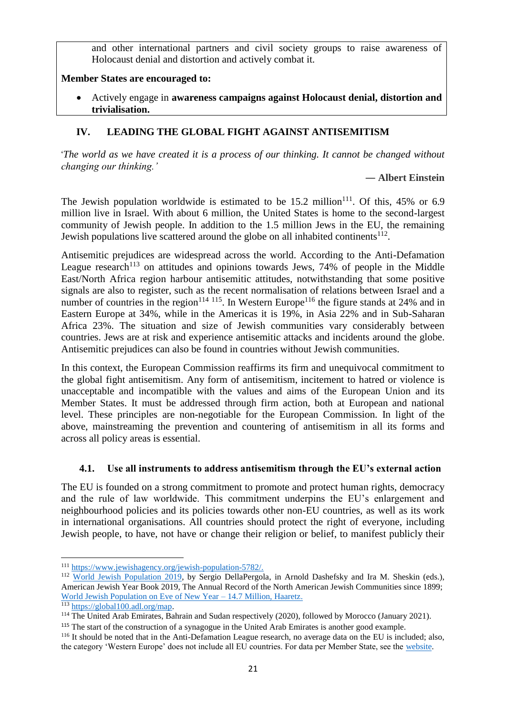and other international partners and civil society groups to raise awareness of Holocaust denial and distortion and actively combat it.

## **Member States are encouraged to:**

 Actively engage in **awareness campaigns against Holocaust denial, distortion and trivialisation.**

## **IV. LEADING THE GLOBAL FIGHT AGAINST ANTISEMITISM**

'*The world as we have created it is a process of our thinking. It cannot be changed without changing our thinking.'*

#### ― **Albert Einstein**

The Jewish population worldwide is estimated to be  $15.2 \text{ million}^{111}$ . Of this, 45% or 6.9 million live in Israel. With about 6 million, the United States is home to the second-largest community of Jewish people. In addition to the 1.5 million Jews in the EU, the remaining Jewish populations live scattered around the globe on all inhabited continents $112$ .

Antisemitic prejudices are widespread across the world. According to the Anti-Defamation League research<sup>113</sup> on attitudes and opinions towards Jews,  $74%$  of people in the Middle East/North Africa region harbour antisemitic attitudes, notwithstanding that some positive signals are also to register, such as the recent normalisation of relations between Israel and a number of countries in the region<sup>114 115</sup>. In Western Europe<sup>116</sup> the figure stands at 24% and in Eastern Europe at 34%, while in the Americas it is 19%, in Asia 22% and in Sub-Saharan Africa 23%. The situation and size of Jewish communities vary considerably between countries. Jews are at risk and experience antisemitic attacks and incidents around the globe. Antisemitic prejudices can also be found in countries without Jewish communities.

In this context, the European Commission reaffirms its firm and unequivocal commitment to the global fight antisemitism. Any form of antisemitism, incitement to hatred or violence is unacceptable and incompatible with the values and aims of the European Union and its Member States. It must be addressed through firm action, both at European and national level. These principles are non-negotiable for the European Commission. In light of the above, mainstreaming the prevention and countering of antisemitism in all its forms and across all policy areas is essential.

## **4.1. Use all instruments to address antisemitism through the EU's external action**

The EU is founded on a strong commitment to promote and protect human rights, democracy and the rule of law worldwide. This commitment underpins the EU's enlargement and neighbourhood policies and its policies towards other non-EU countries, as well as its work in international organisations. All countries should protect the right of everyone, including Jewish people, to have, not have or change their religion or belief, to manifest publicly their

1

<sup>111</sup> [https://www.jewishagency.org/jewish-population-5782/.](https://www.jewishagency.org/jewish-population-5782/)

<sup>112</sup> [World Jewish Population 2019,](https://www.jewishdatabank.org/content/upload/bjdb/2019_World_Jewish_Population_(AJYB,_DellaPergola)_DataBank_Final.pdf) by Sergio DellaPergola, in Arnold Dashefsky and Ira M. Sheskin (eds.), American Jewish Year Book 2019, The Annual Record of the North American Jewish Communities since 1899; [World Jewish Population on Eve of New Year –](https://www.haaretz.com/jewish/.premium-world-jewish-population-on-eve-of-new-year-14-7-million-1.6464812) 14.7 Million, Haaretz.

<sup>113</sup> [https://global100.adl.org/map.](https://global100.adl.org/map)

<sup>114</sup> The United Arab Emirates, Bahrain and Sudan respectively (2020), followed by Morocco (January 2021).

<sup>&</sup>lt;sup>115</sup> The start of the construction of a synagogue in the United Arab Emirates is another good example.

<sup>&</sup>lt;sup>116</sup> It should be noted that in the Anti-Defamation League research, no average data on the EU is included; also, the category 'Western Europe' does not include all EU countries. For data per Member State, see the [website.](https://global100.adl.org/map)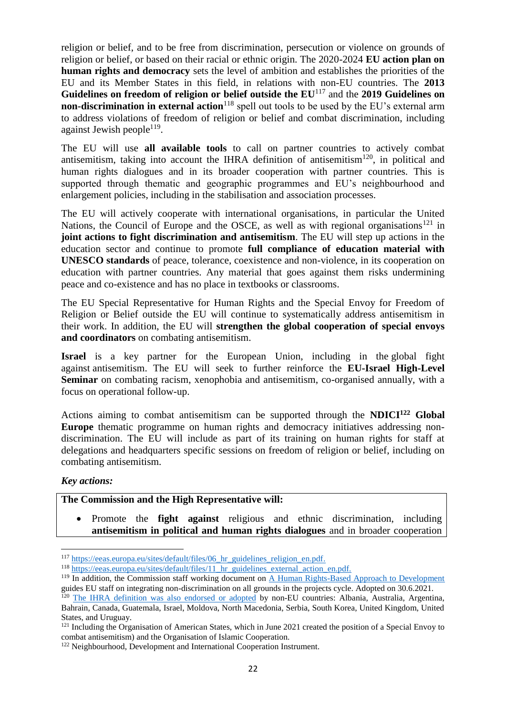religion or belief, and to be free from discrimination, persecution or violence on grounds of religion or belief, or based on their racial or ethnic origin. The 2020-2024 **EU action plan on human rights and democracy** sets the level of ambition and establishes the priorities of the EU and its Member States in this field, in relations with non-EU countries. The **2013 Guidelines on freedom of religion or belief outside the EU**<sup>117</sup> and the **2019 Guidelines on non-discrimination in external action**<sup>118</sup> spell out tools to be used by the EU's external arm to address violations of freedom of religion or belief and combat discrimination, including against Jewish people<sup>119</sup>.

The EU will use **all available tools** to call on partner countries to actively combat antisemitism, taking into account the IHRA definition of antisemitism<sup>120</sup>, in political and human rights dialogues and in its broader cooperation with partner countries. This is supported through thematic and geographic programmes and EU's neighbourhood and enlargement policies, including in the stabilisation and association processes.

The EU will actively cooperate with international organisations, in particular the United Nations, the Council of Europe and the OSCE, as well as with regional organisations<sup>121</sup> in **joint actions to fight discrimination and antisemitism**. The EU will step up actions in the education sector and continue to promote **full compliance of education material with UNESCO standards** of peace, tolerance, coexistence and non-violence, in its cooperation on education with partner countries. Any material that goes against them risks undermining peace and co-existence and has no place in textbooks or classrooms.

The EU Special Representative for Human Rights and the Special Envoy for Freedom of Religion or Belief outside the EU will continue to systematically address antisemitism in their work. In addition, the EU will **strengthen the global cooperation of special envoys and coordinators** on combating antisemitism.

**Israel** is a key partner for the European Union, including in the global fight against antisemitism. The EU will seek to further reinforce the **EU-Israel High-Level Seminar** on combating racism, xenophobia and antisemitism, co-organised annually, with a focus on operational follow-up.

Actions aiming to combat antisemitism can be supported through the **NDICI<sup>122</sup> Global Europe** thematic programme on human rights and democracy initiatives addressing nondiscrimination. The EU will include as part of its training on human rights for staff at delegations and headquarters specific sessions on freedom of religion or belief, including on combating antisemitism.

#### *Key actions:*

**.** 

## **The Commission and the High Representative will:**

 Promote the **fight against** religious and ethnic discrimination, including **antisemitism in political and human rights dialogues** and in broader cooperation

<sup>&</sup>lt;sup>117</sup> https://eeas.europa.eu/sites/default/files/06 hr\_guidelines\_religion\_en.pdf.

<sup>&</sup>lt;sup>118</sup> https://eeas.europa.eu/sites/default/files/11 hr\_guidelines\_external\_action\_en.pdf.

<sup>&</sup>lt;sup>119</sup> In addition, the Commission staff working document on [A Human Rights-Based Approach to Development](https://ec.europa.eu/international-partnerships/system/files/online-170621-eidhr-rba-toolbox-en-a5-lc_en.pdf) guides EU staff on integrating non-discrimination on all grounds in the projects cycle. Adopted on 30.6.2021.

<sup>&</sup>lt;sup>120</sup> [The IHRA definition was also endorsed or adopted](https://www.holocaustremembrance.com/resources/working-definitions-charters/working-definition-antisemitism/adoption-endorsement) by non-EU countries: Albania, Australia, Argentina, Bahrain, Canada, Guatemala, Israel, Moldova, North Macedonia, Serbia, South Korea, United Kingdom, United States, and Uruguay.

<sup>&</sup>lt;sup>121</sup> Including the Organisation of American States, which in June 2021 created the position of a Special Envoy to combat antisemitism) and the Organisation of Islamic Cooperation.

<sup>&</sup>lt;sup>122</sup> Neighbourhood, Development and International Cooperation Instrument.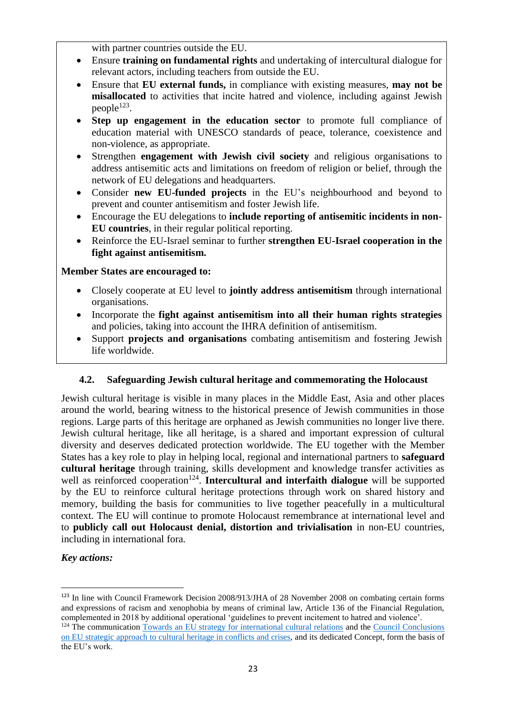with partner countries outside the EU.

- Ensure **training on fundamental rights** and undertaking of intercultural dialogue for relevant actors, including teachers from outside the EU.
- Ensure that **EU external funds,** in compliance with existing measures, **may not be misallocated** to activities that incite hatred and violence, including against Jewish people<sup>123</sup>.
- **Step up engagement in the education sector** to promote full compliance of education material with UNESCO standards of peace, tolerance, coexistence and non-violence, as appropriate.
- Strengthen **engagement with Jewish civil society** and religious organisations to address antisemitic acts and limitations on freedom of religion or belief, through the network of EU delegations and headquarters.
- Consider **new EU-funded projects** in the EU's neighbourhood and beyond to prevent and counter antisemitism and foster Jewish life.
- Encourage the EU delegations to **include reporting of antisemitic incidents in non-EU countries**, in their regular political reporting.
- Reinforce the EU-Israel seminar to further **strengthen EU-Israel cooperation in the fight against antisemitism.**

## **Member States are encouraged to:**

- Closely cooperate at EU level to **jointly address antisemitism** through international organisations.
- Incorporate the **fight against antisemitism into all their human rights strategies** and policies, taking into account the IHRA definition of antisemitism.
- Support **projects and organisations** combating antisemitism and fostering Jewish life worldwide.

## **4.2. Safeguarding Jewish cultural heritage and commemorating the Holocaust**

Jewish cultural heritage is visible in many places in the Middle East, Asia and other places around the world, bearing witness to the historical presence of Jewish communities in those regions. Large parts of this heritage are orphaned as Jewish communities no longer live there. Jewish cultural heritage, like all heritage, is a shared and important expression of cultural diversity and deserves dedicated protection worldwide. The EU together with the Member States has a key role to play in helping local, regional and international partners to **safeguard cultural heritage** through training, skills development and knowledge transfer activities as well as reinforced cooperation<sup>124</sup>. Intercultural and interfaith dialogue will be supported by the EU to reinforce cultural heritage protections through work on shared history and memory, building the basis for communities to live together peacefully in a multicultural context. The EU will continue to promote Holocaust remembrance at international level and to **publicly call out Holocaust denial, distortion and trivialisation** in non-EU countries, including in international fora.

## *Key actions:*

<sup>123</sup> In line with Council Framework Decision 2008/913/JHA of 28 November 2008 on combating certain forms and expressions of racism and xenophobia by means of criminal law, Article 136 of the Financial Regulation, complemented in 2018 by additional operational 'guidelines to prevent incitement to hatred and violence'.

<sup>&</sup>lt;sup>124</sup> The communication [Towards an EU strategy for international cultural relations](https://eur-lex.europa.eu/legal-content/EN/TXT/?uri=JOIN:2016:29:FIN) and the Council Conclusions [on EU strategic approach to cultural heritage in conflicts and crises,](https://www.consilium.europa.eu/media/50557/st09837-en21.pdf) and its dedicated Concept, form the basis of the EU's work.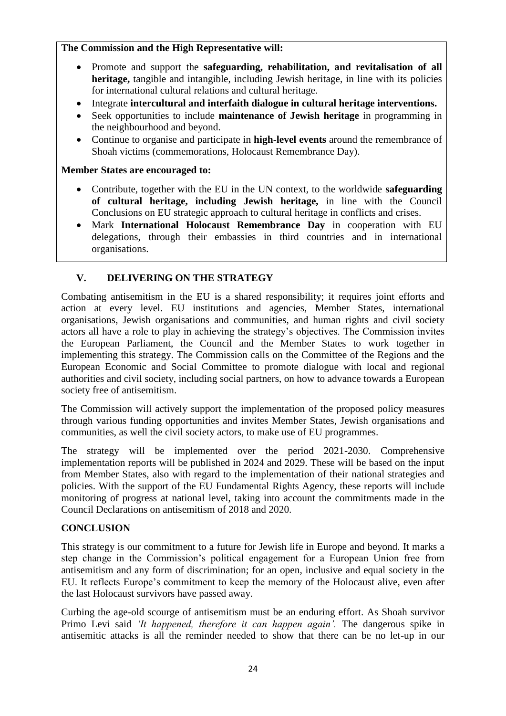## **The Commission and the High Representative will:**

- Promote and support the **safeguarding, rehabilitation, and revitalisation of all heritage,** tangible and intangible, including Jewish heritage, in line with its policies for international cultural relations and cultural heritage.
- Integrate **intercultural and interfaith dialogue in cultural heritage interventions.**
- Seek opportunities to include **maintenance of Jewish heritage** in programming in the neighbourhood and beyond.
- Continue to organise and participate in **high-level events** around the remembrance of Shoah victims (commemorations, Holocaust Remembrance Day).

## **Member States are encouraged to:**

- Contribute, together with the EU in the UN context, to the worldwide **safeguarding of cultural heritage, including Jewish heritage,** in line with the Council Conclusions on EU strategic approach to cultural heritage in conflicts and crises.
- Mark **International Holocaust Remembrance Day** in cooperation with EU delegations, through their embassies in third countries and in international organisations.

# **V. DELIVERING ON THE STRATEGY**

Combating antisemitism in the EU is a shared responsibility; it requires joint efforts and action at every level. EU institutions and agencies, Member States, international organisations, Jewish organisations and communities, and human rights and civil society actors all have a role to play in achieving the strategy's objectives. The Commission invites the European Parliament, the Council and the Member States to work together in implementing this strategy. The Commission calls on the Committee of the Regions and the European Economic and Social Committee to promote dialogue with local and regional authorities and civil society, including social partners, on how to advance towards a European society free of antisemitism.

The Commission will actively support the implementation of the proposed policy measures through various funding opportunities and invites Member States, Jewish organisations and communities, as well the civil society actors, to make use of EU programmes.

The strategy will be implemented over the period 2021-2030. Comprehensive implementation reports will be published in 2024 and 2029. These will be based on the input from Member States, also with regard to the implementation of their national strategies and policies. With the support of the EU Fundamental Rights Agency, these reports will include monitoring of progress at national level, taking into account the commitments made in the Council Declarations on antisemitism of 2018 and 2020.

## **CONCLUSION**

This strategy is our commitment to a future for Jewish life in Europe and beyond. It marks a step change in the Commission's political engagement for a European Union free from antisemitism and any form of discrimination; for an open, inclusive and equal society in the EU. It reflects Europe's commitment to keep the memory of the Holocaust alive, even after the last Holocaust survivors have passed away.

Curbing the age-old scourge of antisemitism must be an enduring effort. As Shoah survivor Primo Levi said *'It happened, therefore it can happen again'.* The dangerous spike in antisemitic attacks is all the reminder needed to show that there can be no let-up in our